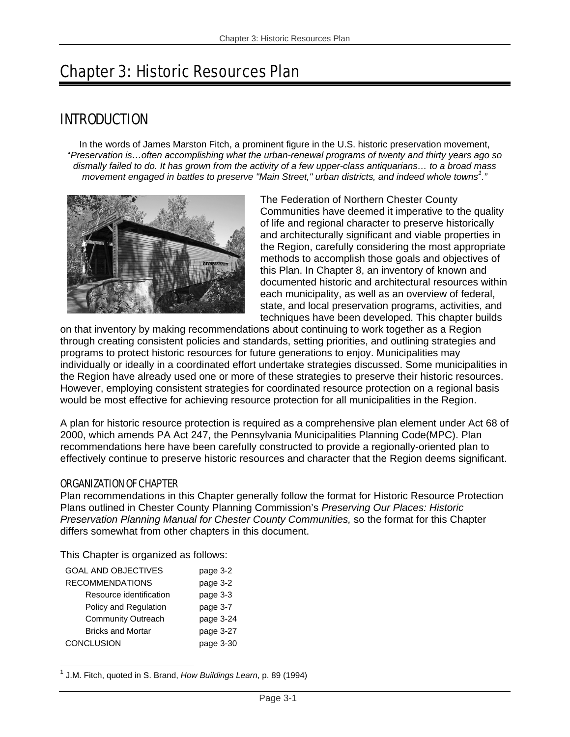# Chapter 3: Historic Resources Plan

# INTRODUCTION

In the words of James Marston Fitch, a prominent figure in the U.S. historic preservation movement, "*Preservation is…often accomplishing what the urban-renewal programs of twenty and thirty years ago so dismally failed to do. It has grown from the activity of a few upper-class antiquarians… to a broad mass movement engaged in battles to preserve "Main Street," urban districts, and indeed whole towns<sup>1</sup> ."*



The Federation of Northern Chester County Communities have deemed it imperative to the quality of life and regional character to preserve historically and architecturally significant and viable properties in the Region, carefully considering the most appropriate methods to accomplish those goals and objectives of this Plan. In Chapter 8, an inventory of known and documented historic and architectural resources within each municipality, as well as an overview of federal, state, and local preservation programs, activities, and techniques have been developed. This chapter builds

on that inventory by making recommendations about continuing to work together as a Region through creating consistent policies and standards, setting priorities, and outlining strategies and programs to protect historic resources for future generations to enjoy. Municipalities may individually or ideally in a coordinated effort undertake strategies discussed. Some municipalities in the Region have already used one or more of these strategies to preserve their historic resources. However, employing consistent strategies for coordinated resource protection on a regional basis would be most effective for achieving resource protection for all municipalities in the Region.

A plan for historic resource protection is required as a comprehensive plan element under Act 68 of 2000, which amends PA Act 247, the Pennsylvania Municipalities Planning Code(MPC). Plan recommendations here have been carefully constructed to provide a regionally-oriented plan to effectively continue to preserve historic resources and character that the Region deems significant.

## ORGANIZATION OF CHAPTER

Plan recommendations in this Chapter generally follow the format for Historic Resource Protection Plans outlined in Chester County Planning Commission's *Preserving Our Places: Historic Preservation Planning Manual for Chester County Communities,* so the format for this Chapter differs somewhat from other chapters in this document.

This Chapter is organized as follows:

| <b>GOAL AND OBJECTIVES</b> | page 3-2  |
|----------------------------|-----------|
| <b>RECOMMENDATIONS</b>     | page 3-2  |
| Resource identification    | page 3-3  |
| Policy and Regulation      | page 3-7  |
| <b>Community Outreach</b>  | page 3-24 |
| <b>Bricks and Mortar</b>   | page 3-27 |
| <b>CONCLUSION</b>          | page 3-30 |
|                            |           |

<sup>1</sup> 1 J.M. Fitch, quoted in S. Brand, *How Buildings Learn*, p. 89 (1994)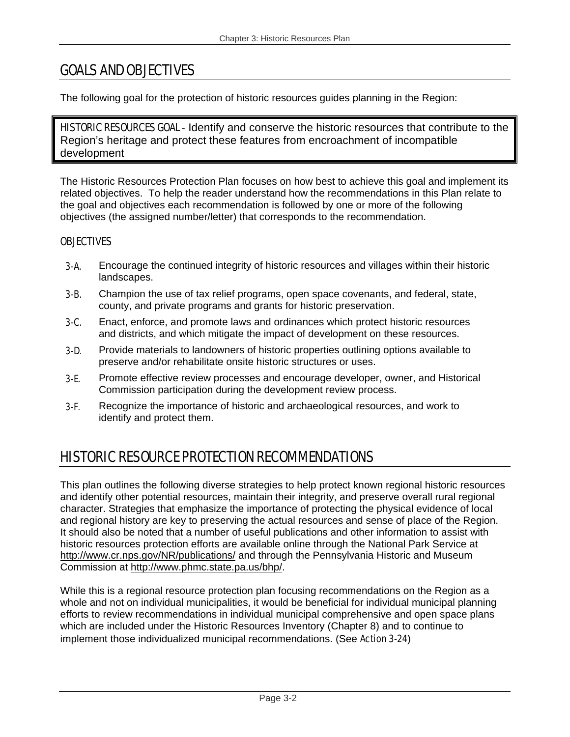# GOALS AND OBJECTIVES

The following goal for the protection of historic resources guides planning in the Region:

HISTORIC RESOURCES GOAL - Identify and conserve the historic resources that contribute to the Region's heritage and protect these features from encroachment of incompatible development

The Historic Resources Protection Plan focuses on how best to achieve this goal and implement its related objectives. To help the reader understand how the recommendations in this Plan relate to the goal and objectives each recommendation is followed by one or more of the following objectives (the assigned number/letter) that corresponds to the recommendation.

## **OBJECTIVES**

- **3-A.** Encourage the continued integrity of historic resources and villages within their historic landscapes.
- **3-B.** Champion the use of tax relief programs, open space covenants, and federal, state, county, and private programs and grants for historic preservation.
- 3-C. Enact, enforce, and promote laws and ordinances which protect historic resources and districts, and which mitigate the impact of development on these resources.
- **3-D.** Provide materials to landowners of historic properties outlining options available to preserve and/or rehabilitate onsite historic structures or uses.
- **3-E.** Promote effective review processes and encourage developer, owner, and Historical Commission participation during the development review process.
- 3-F. Recognize the importance of historic and archaeological resources, and work to identify and protect them.

# HISTORIC RESOURCE PROTECTION RECOMMENDATIONS

This plan outlines the following diverse strategies to help protect known regional historic resources and identify other potential resources, maintain their integrity, and preserve overall rural regional character. Strategies that emphasize the importance of protecting the physical evidence of local and regional history are key to preserving the actual resources and sense of place of the Region. It should also be noted that a number of useful publications and other information to assist with historic resources protection efforts are available online through the National Park Service at http://www.cr.nps.gov/NR/publications/ and through the Pennsylvania Historic and Museum Commission at http://www.phmc.state.pa.us/bhp/.

While this is a regional resource protection plan focusing recommendations on the Region as a whole and not on individual municipalities, it would be beneficial for individual municipal planning efforts to review recommendations in individual municipal comprehensive and open space plans which are included under the Historic Resources Inventory (Chapter 8) and to continue to implement those individualized municipal recommendations. (See Action 3-24)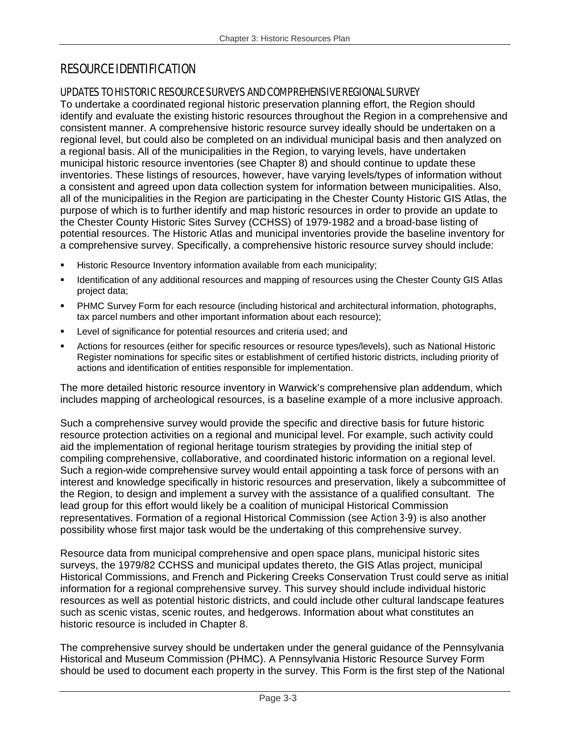# RESOURCE IDENTIFICATION

## UPDATES TO HISTORIC RESOURCE SURVEYS AND COMPREHENSIVE REGIONAL SURVEY

To undertake a coordinated regional historic preservation planning effort, the Region should identify and evaluate the existing historic resources throughout the Region in a comprehensive and consistent manner. A comprehensive historic resource survey ideally should be undertaken on a regional level, but could also be completed on an individual municipal basis and then analyzed on a regional basis. All of the municipalities in the Region, to varying levels, have undertaken municipal historic resource inventories (see Chapter 8) and should continue to update these inventories. These listings of resources, however, have varying levels/types of information without a consistent and agreed upon data collection system for information between municipalities. Also, all of the municipalities in the Region are participating in the Chester County Historic GIS Atlas, the purpose of which is to further identify and map historic resources in order to provide an update to the Chester County Historic Sites Survey (CCHSS) of 1979-1982 and a broad-base listing of potential resources. The Historic Atlas and municipal inventories provide the baseline inventory for a comprehensive survey. Specifically, a comprehensive historic resource survey should include:

- Historic Resource Inventory information available from each municipality;
- Identification of any additional resources and mapping of resources using the Chester County GIS Atlas project data;
- PHMC Survey Form for each resource (including historical and architectural information, photographs, tax parcel numbers and other important information about each resource);
- Level of significance for potential resources and criteria used; and
- Actions for resources (either for specific resources or resource types/levels), such as National Historic Register nominations for specific sites or establishment of certified historic districts, including priority of actions and identification of entities responsible for implementation.

The more detailed historic resource inventory in Warwick's comprehensive plan addendum, which includes mapping of archeological resources, is a baseline example of a more inclusive approach.

Such a comprehensive survey would provide the specific and directive basis for future historic resource protection activities on a regional and municipal level. For example, such activity could aid the implementation of regional heritage tourism strategies by providing the initial step of compiling comprehensive, collaborative, and coordinated historic information on a regional level. Such a region-wide comprehensive survey would entail appointing a task force of persons with an interest and knowledge specifically in historic resources and preservation, likely a subcommittee of the Region, to design and implement a survey with the assistance of a qualified consultant. The lead group for this effort would likely be a coalition of municipal Historical Commission representatives. Formation of a regional Historical Commission (see Action 3-9) is also another possibility whose first major task would be the undertaking of this comprehensive survey.

Resource data from municipal comprehensive and open space plans, municipal historic sites surveys, the 1979/82 CCHSS and municipal updates thereto, the GIS Atlas project, municipal Historical Commissions, and French and Pickering Creeks Conservation Trust could serve as initial information for a regional comprehensive survey. This survey should include individual historic resources as well as potential historic districts, and could include other cultural landscape features such as scenic vistas, scenic routes, and hedgerows. Information about what constitutes an historic resource is included in Chapter 8.

The comprehensive survey should be undertaken under the general guidance of the Pennsylvania Historical and Museum Commission (PHMC). A Pennsylvania Historic Resource Survey Form should be used to document each property in the survey. This Form is the first step of the National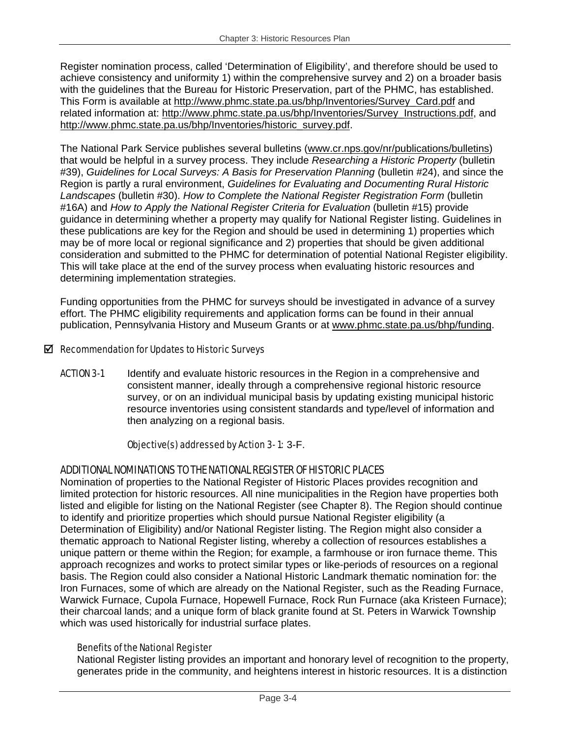Register nomination process, called 'Determination of Eligibility', and therefore should be used to achieve consistency and uniformity 1) within the comprehensive survey and 2) on a broader basis with the guidelines that the Bureau for Historic Preservation, part of the PHMC, has established. This Form is available at http://www.phmc.state.pa.us/bhp/Inventories/Survey\_Card.pdf and related information at: http://www.phmc.state.pa.us/bhp/Inventories/Survey\_Instructions.pdf, and http://www.phmc.state.pa.us/bhp/Inventories/historic\_survey.pdf.

The National Park Service publishes several bulletins (www.cr.nps.gov/nr/publications/bulletins) that would be helpful in a survey process. They include *Researching a Historic Property* (bulletin #39), *Guidelines for Local Surveys: A Basis for Preservation Planning* (bulletin #24), and since the Region is partly a rural environment, *Guidelines for Evaluating and Documenting Rural Historic Landscapes* (bulletin #30). *How to Complete the National Register Registration Form* (bulletin #16A) and *How to Apply the National Register Criteria for Evaluation* (bulletin #15) provide guidance in determining whether a property may qualify for National Register listing. Guidelines in these publications are key for the Region and should be used in determining 1) properties which may be of more local or regional significance and 2) properties that should be given additional consideration and submitted to the PHMC for determination of potential National Register eligibility. This will take place at the end of the survey process when evaluating historic resources and determining implementation strategies.

Funding opportunities from the PHMC for surveys should be investigated in advance of a survey effort. The PHMC eligibility requirements and application forms can be found in their annual publication, Pennsylvania History and Museum Grants or at www.phmc.state.pa.us/bhp/funding.

## $\boxtimes$  Recommendation for Updates to Historic Surveys

**ACTION 3-1** Identify and evaluate historic resources in the Region in a comprehensive and consistent manner, ideally through a comprehensive regional historic resource survey, or on an individual municipal basis by updating existing municipal historic resource inventories using consistent standards and type/level of information and then analyzing on a regional basis.

## Objective(s) addressed by Action 3- 1: 3-F.

## ADDITIONAL NOMINATIONS TO THE NATIONAL REGISTER OF HISTORIC PLACES

Nomination of properties to the National Register of Historic Places provides recognition and limited protection for historic resources. All nine municipalities in the Region have properties both listed and eligible for listing on the National Register (see Chapter 8). The Region should continue to identify and prioritize properties which should pursue National Register eligibility (a Determination of Eligibility) and/or National Register listing. The Region might also consider a thematic approach to National Register listing, whereby a collection of resources establishes a unique pattern or theme within the Region; for example, a farmhouse or iron furnace theme. This approach recognizes and works to protect similar types or like-periods of resources on a regional basis. The Region could also consider a National Historic Landmark thematic nomination for: the Iron Furnaces, some of which are already on the National Register, such as the Reading Furnace, Warwick Furnace, Cupola Furnace, Hopewell Furnace, Rock Run Furnace (aka Kristeen Furnace); their charcoal lands; and a unique form of black granite found at St. Peters in Warwick Township which was used historically for industrial surface plates.

## Benefits of the National Register

National Register listing provides an important and honorary level of recognition to the property, generates pride in the community, and heightens interest in historic resources. It is a distinction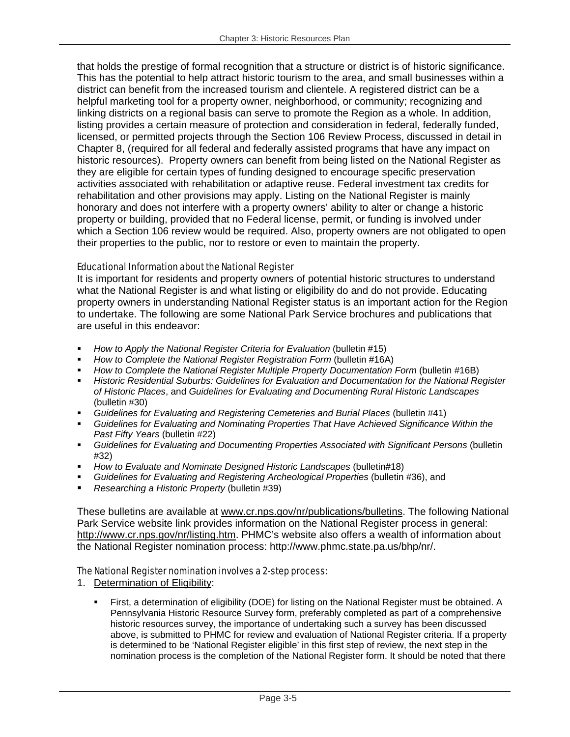that holds the prestige of formal recognition that a structure or district is of historic significance. This has the potential to help attract historic tourism to the area, and small businesses within a district can benefit from the increased tourism and clientele. A registered district can be a helpful marketing tool for a property owner, neighborhood, or community; recognizing and linking districts on a regional basis can serve to promote the Region as a whole. In addition, listing provides a certain measure of protection and consideration in federal, federally funded, licensed, or permitted projects through the Section 106 Review Process, discussed in detail in Chapter 8, (required for all federal and federally assisted programs that have any impact on historic resources). Property owners can benefit from being listed on the National Register as they are eligible for certain types of funding designed to encourage specific preservation activities associated with rehabilitation or adaptive reuse. Federal investment tax credits for rehabilitation and other provisions may apply. Listing on the National Register is mainly honorary and does not interfere with a property owners' ability to alter or change a historic property or building, provided that no Federal license, permit, or funding is involved under which a Section 106 review would be required. Also, property owners are not obligated to open their properties to the public, nor to restore or even to maintain the property.

## Educational Information about the National Register

It is important for residents and property owners of potential historic structures to understand what the National Register is and what listing or eligibility do and do not provide. Educating property owners in understanding National Register status is an important action for the Region to undertake. The following are some National Park Service brochures and publications that are useful in this endeavor:

- *How to Apply the National Register Criteria for Evaluation* (bulletin #15)
- *How to Complete the National Register Registration Form (bulletin #16A)*
- *How to Complete the National Register Multiple Property Documentation Form (bulletin #16B)*
- *Historic Residential Suburbs: Guidelines for Evaluation and Documentation for the National Register of Historic Places*, and *Guidelines for Evaluating and Documenting Rural Historic Landscapes*  (bulletin #30)
- *Guidelines for Evaluating and Registering Cemeteries and Burial Places* (bulletin #41)
- *Guidelines for Evaluating and Nominating Properties That Have Achieved Significance Within the Past Fifty Years* (bulletin #22)
- *Guidelines for Evaluating and Documenting Properties Associated with Significant Persons* (bulletin #32)
- *How to Evaluate and Nominate Designed Historic Landscapes* (bulletin#18)
- *Guidelines for Evaluating and Registering Archeological Properties* (bulletin #36), and
- *Researching a Historic Property* (bulletin #39)

These bulletins are available at www.cr.nps.gov/nr/publications/bulletins. The following National Park Service website link provides information on the National Register process in general: http://www.cr.nps.gov/nr/listing.htm. PHMC's website also offers a wealth of information about the National Register nomination process: http://www.phmc.state.pa.us/bhp/nr/.

## The National Register nomination involves a 2-step process:

- 1. Determination of Eligibility:
	- First, a determination of eligibility (DOE) for listing on the National Register must be obtained. A Pennsylvania Historic Resource Survey form, preferably completed as part of a comprehensive historic resources survey, the importance of undertaking such a survey has been discussed above, is submitted to PHMC for review and evaluation of National Register criteria. If a property is determined to be 'National Register eligible' in this first step of review, the next step in the nomination process is the completion of the National Register form. It should be noted that there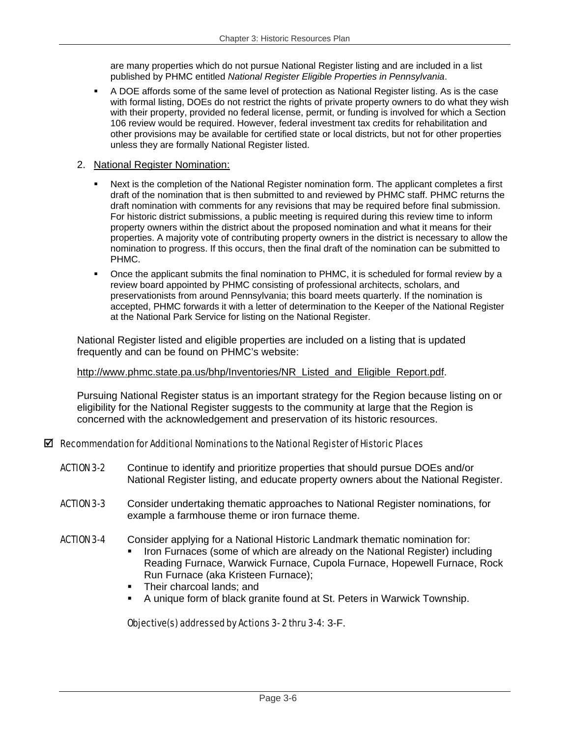are many properties which do not pursue National Register listing and are included in a list published by PHMC entitled *National Register Eligible Properties in Pennsylvania*.

 A DOE affords some of the same level of protection as National Register listing. As is the case with formal listing, DOEs do not restrict the rights of private property owners to do what they wish with their property, provided no federal license, permit, or funding is involved for which a Section 106 review would be required. However, federal investment tax credits for rehabilitation and other provisions may be available for certified state or local districts, but not for other properties unless they are formally National Register listed.

#### 2. National Register Nomination:

- Next is the completion of the National Register nomination form. The applicant completes a first draft of the nomination that is then submitted to and reviewed by PHMC staff. PHMC returns the draft nomination with comments for any revisions that may be required before final submission. For historic district submissions, a public meeting is required during this review time to inform property owners within the district about the proposed nomination and what it means for their properties. A majority vote of contributing property owners in the district is necessary to allow the nomination to progress. If this occurs, then the final draft of the nomination can be submitted to PHMC.
- Once the applicant submits the final nomination to PHMC, it is scheduled for formal review by a review board appointed by PHMC consisting of professional architects, scholars, and preservationists from around Pennsylvania; this board meets quarterly. If the nomination is accepted, PHMC forwards it with a letter of determination to the Keeper of the National Register at the National Park Service for listing on the National Register.

National Register listed and eligible properties are included on a listing that is updated frequently and can be found on PHMC's website:

#### http://www.phmc.state.pa.us/bhp/Inventories/NR\_Listed\_and\_Eligible\_Report.pdf.

Pursuing National Register status is an important strategy for the Region because listing on or eligibility for the National Register suggests to the community at large that the Region is concerned with the acknowledgement and preservation of its historic resources.

## $\boxtimes$  Recommendation for Additional Nominations to the National Register of Historic Places

- ACTION 3-2 Continue to identify and prioritize properties that should pursue DOEs and/or National Register listing, and educate property owners about the National Register.
- **ACTION 3-3** Consider undertaking thematic approaches to National Register nominations, for example a farmhouse theme or iron furnace theme.
- ACTION 3-4 Consider applying for a National Historic Landmark thematic nomination for: Iron Furnaces (some of which are already on the National Register) including Reading Furnace, Warwick Furnace, Cupola Furnace, Hopewell Furnace, Rock Run Furnace (aka Kristeen Furnace);
	- Their charcoal lands; and
	- A unique form of black granite found at St. Peters in Warwick Township.

## Objective(s) addressed by Actions 3- 2 thru 3-4: 3-F.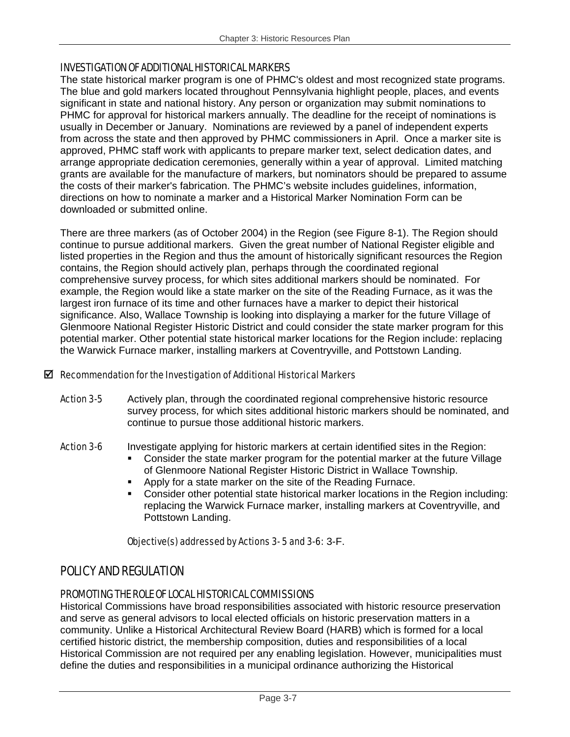## INVESTIGATION OF ADDITIONAL HISTORICAL MARKERS

The state historical marker program is one of PHMC's oldest and most recognized state programs. The blue and gold markers located throughout Pennsylvania highlight people, places, and events significant in state and national history. Any person or organization may submit nominations to PHMC for approval for historical markers annually. The deadline for the receipt of nominations is usually in December or January. Nominations are reviewed by a panel of independent experts from across the state and then approved by PHMC commissioners in April. Once a marker site is approved, PHMC staff work with applicants to prepare marker text, select dedication dates, and arrange appropriate dedication ceremonies, generally within a year of approval. Limited matching grants are available for the manufacture of markers, but nominators should be prepared to assume the costs of their marker's fabrication. The PHMC's website includes guidelines, information, directions on how to nominate a marker and a Historical Marker Nomination Form can be downloaded or submitted online.

There are three markers (as of October 2004) in the Region (see Figure 8-1). The Region should continue to pursue additional markers. Given the great number of National Register eligible and listed properties in the Region and thus the amount of historically significant resources the Region contains, the Region should actively plan, perhaps through the coordinated regional comprehensive survey process, for which sites additional markers should be nominated. For example, the Region would like a state marker on the site of the Reading Furnace, as it was the largest iron furnace of its time and other furnaces have a marker to depict their historical significance. Also, Wallace Township is looking into displaying a marker for the future Village of Glenmoore National Register Historic District and could consider the state marker program for this potential marker. Other potential state historical marker locations for the Region include: replacing the Warwick Furnace marker, installing markers at Coventryville, and Pottstown Landing.

## $\boxtimes$  Recommendation for the Investigation of Additional Historical Markers

Action 3-5 Actively plan, through the coordinated regional comprehensive historic resource survey process, for which sites additional historic markers should be nominated, and continue to pursue those additional historic markers.

## Action 3-6 Investigate applying for historic markers at certain identified sites in the Region:

- Consider the state marker program for the potential marker at the future Village of Glenmoore National Register Historic District in Wallace Township.
- Apply for a state marker on the site of the Reading Furnace.
- Consider other potential state historical marker locations in the Region including: replacing the Warwick Furnace marker, installing markers at Coventryville, and Pottstown Landing.

## Objective(s) addressed by Actions 3- 5 and 3-6: 3-F.

# POLICY AND REGULATION

## PROMOTING THE ROLE OF LOCAL HISTORICAL COMMISSIONS

Historical Commissions have broad responsibilities associated with historic resource preservation and serve as general advisors to local elected officials on historic preservation matters in a community. Unlike a Historical Architectural Review Board (HARB) which is formed for a local certified historic district, the membership composition, duties and responsibilities of a local Historical Commission are not required per any enabling legislation. However, municipalities must define the duties and responsibilities in a municipal ordinance authorizing the Historical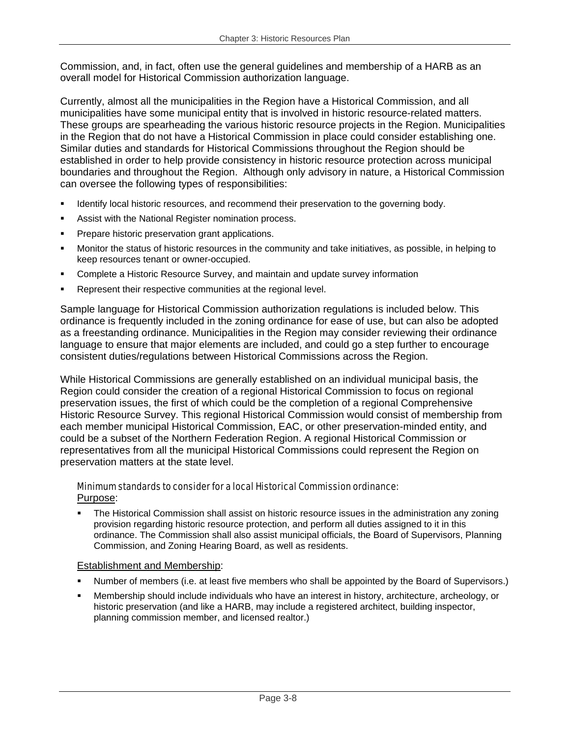Commission, and, in fact, often use the general guidelines and membership of a HARB as an overall model for Historical Commission authorization language.

Currently, almost all the municipalities in the Region have a Historical Commission, and all municipalities have some municipal entity that is involved in historic resource-related matters. These groups are spearheading the various historic resource projects in the Region. Municipalities in the Region that do not have a Historical Commission in place could consider establishing one. Similar duties and standards for Historical Commissions throughout the Region should be established in order to help provide consistency in historic resource protection across municipal boundaries and throughout the Region. Although only advisory in nature, a Historical Commission can oversee the following types of responsibilities:

- Identify local historic resources, and recommend their preservation to the governing body.
- Assist with the National Register nomination process.
- **Prepare historic preservation grant applications.**
- Monitor the status of historic resources in the community and take initiatives, as possible, in helping to keep resources tenant or owner-occupied.
- Complete a Historic Resource Survey, and maintain and update survey information
- Represent their respective communities at the regional level.

Sample language for Historical Commission authorization regulations is included below. This ordinance is frequently included in the zoning ordinance for ease of use, but can also be adopted as a freestanding ordinance. Municipalities in the Region may consider reviewing their ordinance language to ensure that major elements are included, and could go a step further to encourage consistent duties/regulations between Historical Commissions across the Region.

While Historical Commissions are generally established on an individual municipal basis, the Region could consider the creation of a regional Historical Commission to focus on regional preservation issues, the first of which could be the completion of a regional Comprehensive Historic Resource Survey. This regional Historical Commission would consist of membership from each member municipal Historical Commission, EAC, or other preservation-minded entity, and could be a subset of the Northern Federation Region. A regional Historical Commission or representatives from all the municipal Historical Commissions could represent the Region on preservation matters at the state level.

#### Minimum standards to consider for a local Historical Commission ordinance: Purpose:

 The Historical Commission shall assist on historic resource issues in the administration any zoning provision regarding historic resource protection, and perform all duties assigned to it in this ordinance. The Commission shall also assist municipal officials, the Board of Supervisors, Planning Commission, and Zoning Hearing Board, as well as residents.

## Establishment and Membership:

- Number of members (i.e. at least five members who shall be appointed by the Board of Supervisors.)
- Membership should include individuals who have an interest in history, architecture, archeology, or historic preservation (and like a HARB, may include a registered architect, building inspector, planning commission member, and licensed realtor.)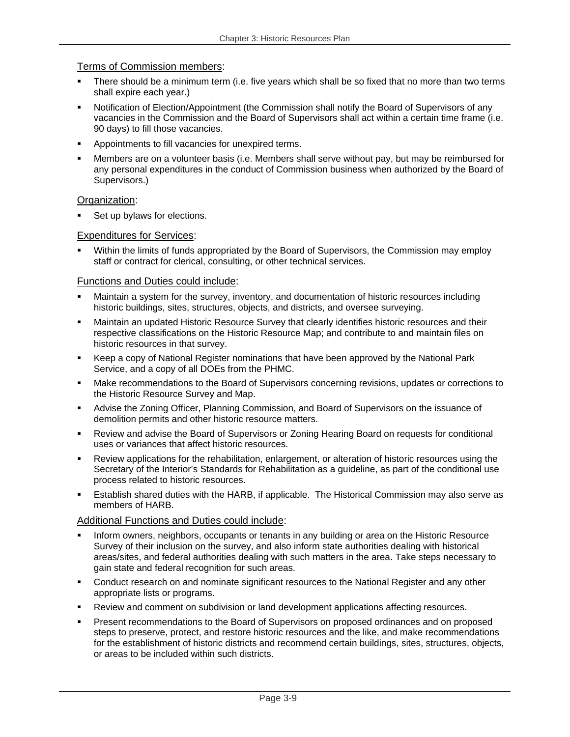#### Terms of Commission members:

- There should be a minimum term (i.e. five years which shall be so fixed that no more than two terms shall expire each year.)
- Notification of Election/Appointment (the Commission shall notify the Board of Supervisors of any vacancies in the Commission and the Board of Supervisors shall act within a certain time frame (i.e. 90 days) to fill those vacancies.
- Appointments to fill vacancies for unexpired terms.
- Members are on a volunteer basis (i.e. Members shall serve without pay, but may be reimbursed for any personal expenditures in the conduct of Commission business when authorized by the Board of Supervisors.)

#### Organization:

Set up bylaws for elections.

#### Expenditures for Services:

 Within the limits of funds appropriated by the Board of Supervisors, the Commission may employ staff or contract for clerical, consulting, or other technical services.

#### Functions and Duties could include:

- Maintain a system for the survey, inventory, and documentation of historic resources including historic buildings, sites, structures, objects, and districts, and oversee surveying.
- Maintain an updated Historic Resource Survey that clearly identifies historic resources and their respective classifications on the Historic Resource Map; and contribute to and maintain files on historic resources in that survey.
- Keep a copy of National Register nominations that have been approved by the National Park Service, and a copy of all DOEs from the PHMC.
- Make recommendations to the Board of Supervisors concerning revisions, updates or corrections to the Historic Resource Survey and Map.
- Advise the Zoning Officer, Planning Commission, and Board of Supervisors on the issuance of demolition permits and other historic resource matters.
- Review and advise the Board of Supervisors or Zoning Hearing Board on requests for conditional uses or variances that affect historic resources.
- Review applications for the rehabilitation, enlargement, or alteration of historic resources using the Secretary of the Interior's Standards for Rehabilitation as a guideline, as part of the conditional use process related to historic resources.
- Establish shared duties with the HARB, if applicable. The Historical Commission may also serve as members of HARB.

#### Additional Functions and Duties could include:

- Inform owners, neighbors, occupants or tenants in any building or area on the Historic Resource Survey of their inclusion on the survey, and also inform state authorities dealing with historical areas/sites, and federal authorities dealing with such matters in the area. Take steps necessary to gain state and federal recognition for such areas.
- Conduct research on and nominate significant resources to the National Register and any other appropriate lists or programs.
- Review and comment on subdivision or land development applications affecting resources.
- Present recommendations to the Board of Supervisors on proposed ordinances and on proposed steps to preserve, protect, and restore historic resources and the like, and make recommendations for the establishment of historic districts and recommend certain buildings, sites, structures, objects, or areas to be included within such districts.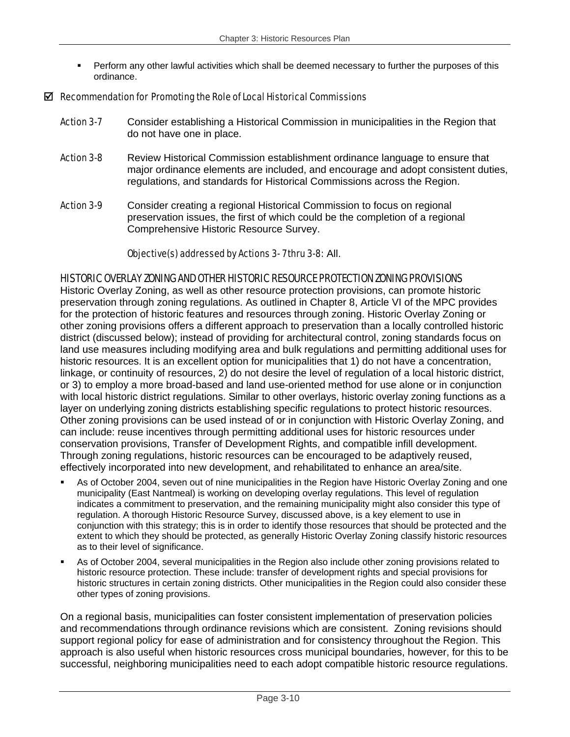**Perform any other lawful activities which shall be deemed necessary to further the purposes of this** ordinance.

#### $\boxtimes$  Recommendation for Promoting the Role of Local Historical Commissions

- **Action 3-7** Consider establishing a Historical Commission in municipalities in the Region that do not have one in place.
- **Action 3-8** Review Historical Commission establishment ordinance language to ensure that major ordinance elements are included, and encourage and adopt consistent duties, regulations, and standards for Historical Commissions across the Region.
- Action 3-9 Consider creating a regional Historical Commission to focus on regional preservation issues, the first of which could be the completion of a regional Comprehensive Historic Resource Survey.

#### Objective(s) addressed by Actions 3- 7 thru 3-8: All.

#### HISTORIC OVERLAY ZONING AND OTHER HISTORIC RESOURCE PROTECTION ZONING PROVISIONS

Historic Overlay Zoning, as well as other resource protection provisions, can promote historic preservation through zoning regulations. As outlined in Chapter 8, Article VI of the MPC provides for the protection of historic features and resources through zoning. Historic Overlay Zoning or other zoning provisions offers a different approach to preservation than a locally controlled historic district (discussed below); instead of providing for architectural control, zoning standards focus on land use measures including modifying area and bulk regulations and permitting additional uses for historic resources. It is an excellent option for municipalities that 1) do not have a concentration, linkage, or continuity of resources, 2) do not desire the level of regulation of a local historic district, or 3) to employ a more broad-based and land use-oriented method for use alone or in conjunction with local historic district regulations. Similar to other overlays, historic overlay zoning functions as a layer on underlying zoning districts establishing specific regulations to protect historic resources. Other zoning provisions can be used instead of or in conjunction with Historic Overlay Zoning, and can include: reuse incentives through permitting additional uses for historic resources under conservation provisions, Transfer of Development Rights, and compatible infill development. Through zoning regulations, historic resources can be encouraged to be adaptively reused, effectively incorporated into new development, and rehabilitated to enhance an area/site.

- As of October 2004, seven out of nine municipalities in the Region have Historic Overlay Zoning and one municipality (East Nantmeal) is working on developing overlay regulations. This level of regulation indicates a commitment to preservation, and the remaining municipality might also consider this type of regulation. A thorough Historic Resource Survey, discussed above, is a key element to use in conjunction with this strategy; this is in order to identify those resources that should be protected and the extent to which they should be protected, as generally Historic Overlay Zoning classify historic resources as to their level of significance.
- As of October 2004, several municipalities in the Region also include other zoning provisions related to historic resource protection. These include: transfer of development rights and special provisions for historic structures in certain zoning districts. Other municipalities in the Region could also consider these other types of zoning provisions.

On a regional basis, municipalities can foster consistent implementation of preservation policies and recommendations through ordinance revisions which are consistent. Zoning revisions should support regional policy for ease of administration and for consistency throughout the Region. This approach is also useful when historic resources cross municipal boundaries, however, for this to be successful, neighboring municipalities need to each adopt compatible historic resource regulations.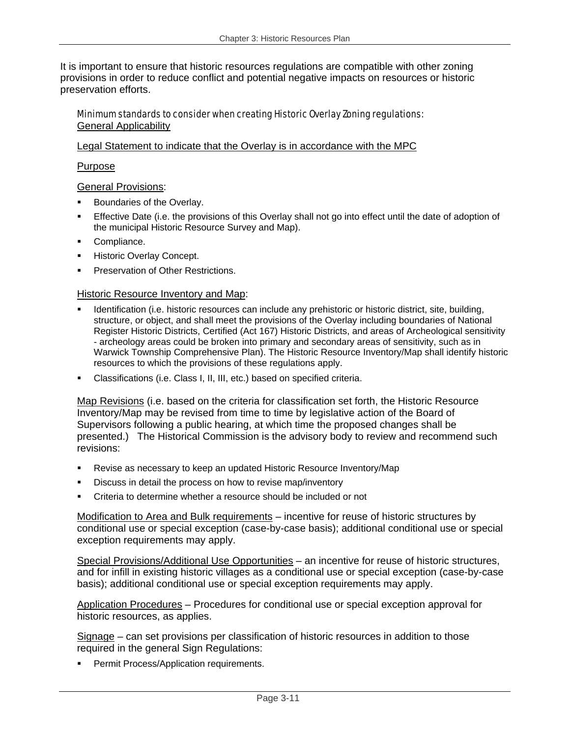It is important to ensure that historic resources regulations are compatible with other zoning provisions in order to reduce conflict and potential negative impacts on resources or historic preservation efforts.

#### Minimum standards to consider when creating Historic Overlay Zoning regulations: General Applicability

#### Legal Statement to indicate that the Overlay is in accordance with the MPC

#### Purpose

#### General Provisions:

- Boundaries of the Overlay.
- Effective Date (i.e. the provisions of this Overlay shall not go into effect until the date of adoption of the municipal Historic Resource Survey and Map).
- Compliance.
- Historic Overlay Concept.
- Preservation of Other Restrictions.

#### Historic Resource Inventory and Map:

- Identification (i.e. historic resources can include any prehistoric or historic district, site, building, structure, or object, and shall meet the provisions of the Overlay including boundaries of National Register Historic Districts, Certified (Act 167) Historic Districts, and areas of Archeological sensitivity - archeology areas could be broken into primary and secondary areas of sensitivity, such as in Warwick Township Comprehensive Plan). The Historic Resource Inventory/Map shall identify historic resources to which the provisions of these regulations apply.
- Classifications (i.e. Class I, II, III, etc.) based on specified criteria.

Map Revisions (i.e. based on the criteria for classification set forth, the Historic Resource Inventory/Map may be revised from time to time by legislative action of the Board of Supervisors following a public hearing, at which time the proposed changes shall be presented.) The Historical Commission is the advisory body to review and recommend such revisions:

- Revise as necessary to keep an updated Historic Resource Inventory/Map
- Discuss in detail the process on how to revise map/inventory
- Criteria to determine whether a resource should be included or not

Modification to Area and Bulk requirements – incentive for reuse of historic structures by conditional use or special exception (case-by-case basis); additional conditional use or special exception requirements may apply.

Special Provisions/Additional Use Opportunities – an incentive for reuse of historic structures, and for infill in existing historic villages as a conditional use or special exception (case-by-case basis); additional conditional use or special exception requirements may apply.

Application Procedures – Procedures for conditional use or special exception approval for historic resources, as applies.

Signage – can set provisions per classification of historic resources in addition to those required in the general Sign Regulations:

**Permit Process/Application requirements.**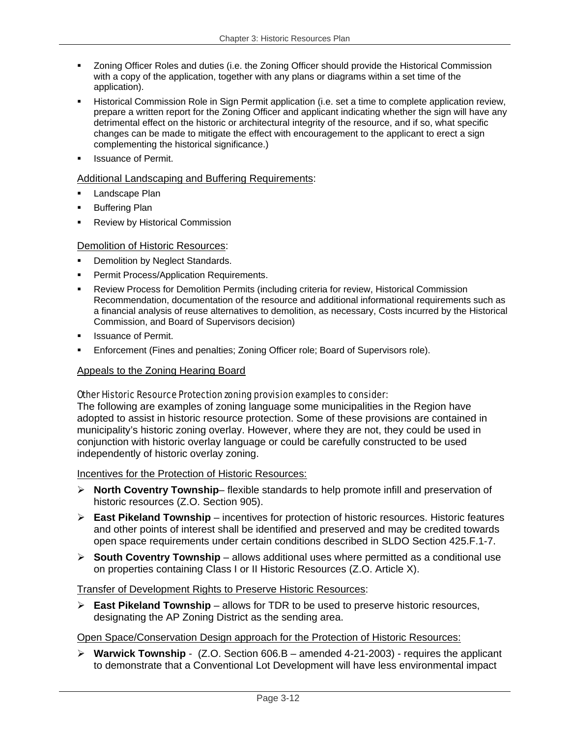- Zoning Officer Roles and duties (i.e. the Zoning Officer should provide the Historical Commission with a copy of the application, together with any plans or diagrams within a set time of the application).
- Historical Commission Role in Sign Permit application (i.e. set a time to complete application review, prepare a written report for the Zoning Officer and applicant indicating whether the sign will have any detrimental effect on the historic or architectural integrity of the resource, and if so, what specific changes can be made to mitigate the effect with encouragement to the applicant to erect a sign complementing the historical significance.)
- Issuance of Permit.

#### Additional Landscaping and Buffering Requirements:

- Landscape Plan
- Buffering Plan
- Review by Historical Commission

#### Demolition of Historic Resources:

- Demolition by Neglect Standards.
- Permit Process/Application Requirements.
- Review Process for Demolition Permits (including criteria for review, Historical Commission Recommendation, documentation of the resource and additional informational requirements such as a financial analysis of reuse alternatives to demolition, as necessary, Costs incurred by the Historical Commission, and Board of Supervisors decision)
- Issuance of Permit.
- Enforcement (Fines and penalties; Zoning Officer role; Board of Supervisors role).

#### Appeals to the Zoning Hearing Board

#### Other Historic Resource Protection zoning provision examples to consider:

The following are examples of zoning language some municipalities in the Region have adopted to assist in historic resource protection. Some of these provisions are contained in municipality's historic zoning overlay. However, where they are not, they could be used in conjunction with historic overlay language or could be carefully constructed to be used independently of historic overlay zoning.

#### Incentives for the Protection of Historic Resources:

- ¾ **North Coventry Township** flexible standards to help promote infill and preservation of historic resources (Z.O. Section 905).
- ¾ **East Pikeland Township** incentives for protection of historic resources. Historic features and other points of interest shall be identified and preserved and may be credited towards open space requirements under certain conditions described in SLDO Section 425.F.1-7.
- ¾ **South Coventry Township** allows additional uses where permitted as a conditional use on properties containing Class I or II Historic Resources (Z.O. Article X).

## Transfer of Development Rights to Preserve Historic Resources:

¾ **East Pikeland Township** – allows for TDR to be used to preserve historic resources, designating the AP Zoning District as the sending area.

## Open Space/Conservation Design approach for the Protection of Historic Resources:

¾ **Warwick Township** - (Z.O. Section 606.B – amended 4-21-2003) - requires the applicant to demonstrate that a Conventional Lot Development will have less environmental impact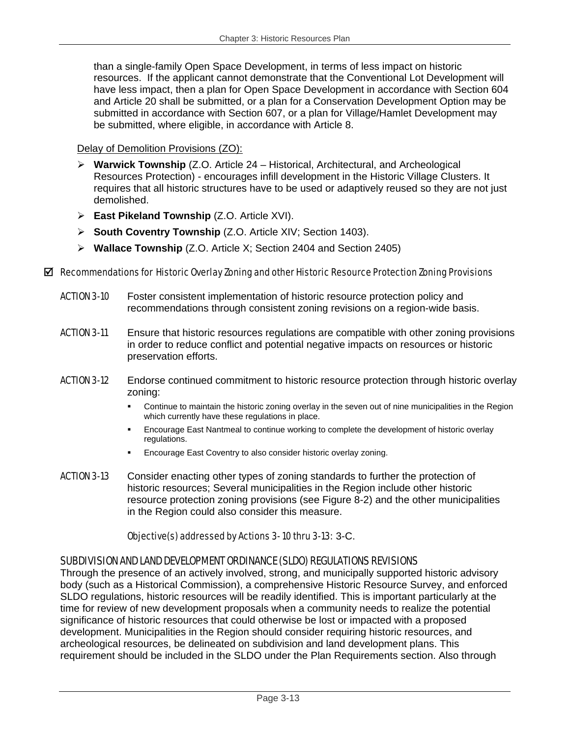than a single-family Open Space Development, in terms of less impact on historic resources. If the applicant cannot demonstrate that the Conventional Lot Development will have less impact, then a plan for Open Space Development in accordance with Section 604 and Article 20 shall be submitted, or a plan for a Conservation Development Option may be submitted in accordance with Section 607, or a plan for Village/Hamlet Development may be submitted, where eligible, in accordance with Article 8.

## Delay of Demolition Provisions (ZO):

- ¾ **Warwick Township** (Z.O. Article 24 Historical, Architectural, and Archeological Resources Protection) - encourages infill development in the Historic Village Clusters. It requires that all historic structures have to be used or adaptively reused so they are not just demolished.
- ¾ **East Pikeland Township** (Z.O. Article XVI).
- ¾ **South Coventry Township** (Z.O. Article XIV; Section 1403).
- ¾ **Wallace Township** (Z.O. Article X; Section 2404 and Section 2405)

#### $\boxtimes$  Recommendations for Historic Overlay Zoning and other Historic Resource Protection Zoning Provisions

- ACTION 3-10 Foster consistent implementation of historic resource protection policy and recommendations through consistent zoning revisions on a region-wide basis.
- **ACTION 3-11** Ensure that historic resources regulations are compatible with other zoning provisions in order to reduce conflict and potential negative impacts on resources or historic preservation efforts.
- **ACTION 3-12** Endorse continued commitment to historic resource protection through historic overlay zoning:
	- Continue to maintain the historic zoning overlay in the seven out of nine municipalities in the Region which currently have these regulations in place.
	- Encourage East Nantmeal to continue working to complete the development of historic overlay regulations.
	- Encourage East Coventry to also consider historic overlay zoning.
- ACTION 3-13 Consider enacting other types of zoning standards to further the protection of historic resources; Several municipalities in the Region include other historic resource protection zoning provisions (see Figure 8-2) and the other municipalities in the Region could also consider this measure.

#### Objective(s) addressed by Actions 3- 10 thru 3-13: 3-C.

## SUBDIVISION AND LAND DEVELOPMENT ORDINANCE (SLDO) REGULATIONS REVISIONS

Through the presence of an actively involved, strong, and municipally supported historic advisory body (such as a Historical Commission), a comprehensive Historic Resource Survey, and enforced SLDO regulations, historic resources will be readily identified. This is important particularly at the time for review of new development proposals when a community needs to realize the potential significance of historic resources that could otherwise be lost or impacted with a proposed development. Municipalities in the Region should consider requiring historic resources, and archeological resources, be delineated on subdivision and land development plans. This requirement should be included in the SLDO under the Plan Requirements section. Also through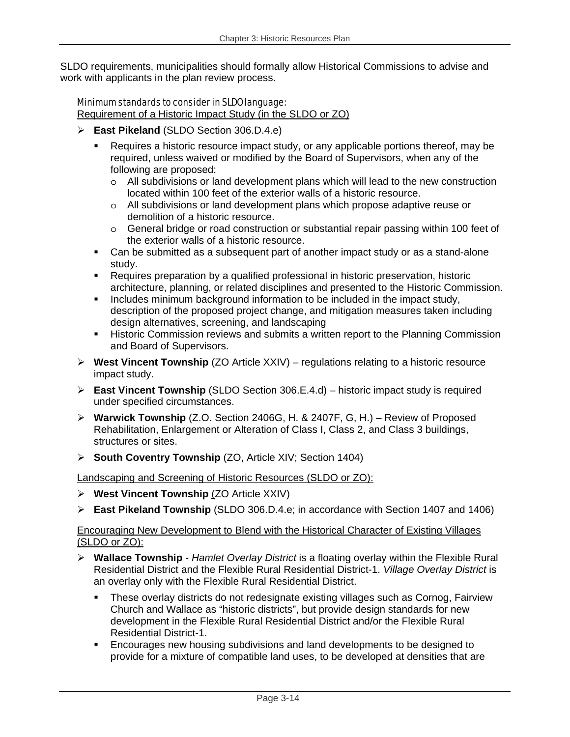SLDO requirements, municipalities should formally allow Historical Commissions to advise and work with applicants in the plan review process.

## Minimum standards to consider in SLDO language:

Requirement of a Historic Impact Study (in the SLDO or ZO)

- ¾ **East Pikeland** (SLDO Section 306.D.4.e)
	- Requires a historic resource impact study, or any applicable portions thereof, may be required, unless waived or modified by the Board of Supervisors, when any of the following are proposed:
		- $\circ$  All subdivisions or land development plans which will lead to the new construction located within 100 feet of the exterior walls of a historic resource.
		- o All subdivisions or land development plans which propose adaptive reuse or demolition of a historic resource.
		- o General bridge or road construction or substantial repair passing within 100 feet of the exterior walls of a historic resource.
	- Can be submitted as a subsequent part of another impact study or as a stand-alone study.
	- Requires preparation by a qualified professional in historic preservation, historic architecture, planning, or related disciplines and presented to the Historic Commission.
	- Includes minimum background information to be included in the impact study, description of the proposed project change, and mitigation measures taken including design alternatives, screening, and landscaping
	- **Historic Commission reviews and submits a written report to the Planning Commission** and Board of Supervisors.
- ¾ **West Vincent Township** (ZO Article XXIV) regulations relating to a historic resource impact study.
- ¾ **East Vincent Township** (SLDO Section 306.E.4.d) historic impact study is required under specified circumstances.
- ¾ **Warwick Township** (Z.O. Section 2406G, H. & 2407F, G, H.) Review of Proposed Rehabilitation, Enlargement or Alteration of Class I, Class 2, and Class 3 buildings, structures or sites.
- ¾ **South Coventry Township** (ZO, Article XIV; Section 1404)

Landscaping and Screening of Historic Resources (SLDO or ZO):

- ¾ **West Vincent Township** (ZO Article XXIV)
- ¾ **East Pikeland Township** (SLDO 306.D.4.e; in accordance with Section 1407 and 1406)

## Encouraging New Development to Blend with the Historical Character of Existing Villages (SLDO or ZO):

- ¾ **Wallace Township** *Hamlet Overlay District* is a floating overlay within the Flexible Rural Residential District and the Flexible Rural Residential District-1. *Village Overlay District* is an overlay only with the Flexible Rural Residential District.
	- These overlay districts do not redesignate existing villages such as Cornog, Fairview Church and Wallace as "historic districts", but provide design standards for new development in the Flexible Rural Residential District and/or the Flexible Rural Residential District-1.
	- **Encourages new housing subdivisions and land developments to be designed to** provide for a mixture of compatible land uses, to be developed at densities that are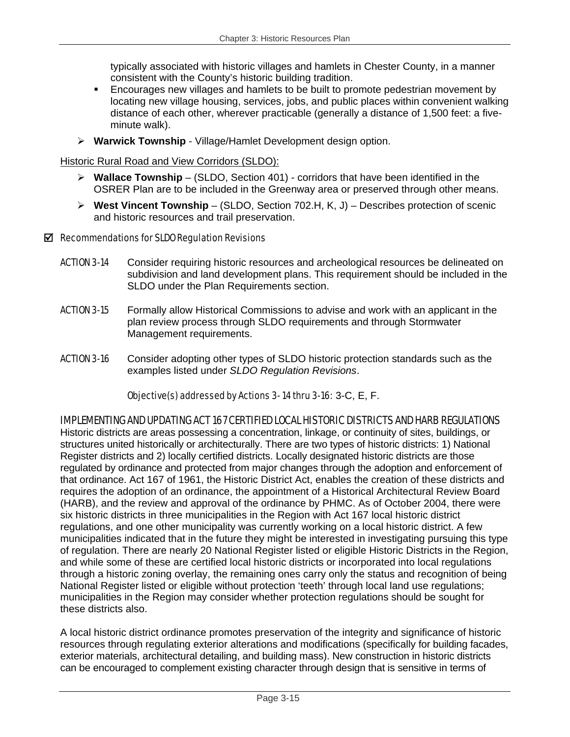typically associated with historic villages and hamlets in Chester County, in a manner consistent with the County's historic building tradition.

- Encourages new villages and hamlets to be built to promote pedestrian movement by locating new village housing, services, jobs, and public places within convenient walking distance of each other, wherever practicable (generally a distance of 1,500 feet: a fiveminute walk).
- ¾ **Warwick Township** Village/Hamlet Development design option.

Historic Rural Road and View Corridors (SLDO):

- ¾ **Wallace Township**  (SLDO, Section 401) corridors that have been identified in the OSRER Plan are to be included in the Greenway area or preserved through other means.
- ¾ **West Vincent Township**  (SLDO, Section 702.H, K, J) Describes protection of scenic and historic resources and trail preservation.

## $\boxtimes$  Recommendations for SLDO Regulation Revisions

- **ACTION 3-14** Consider requiring historic resources and archeological resources be delineated on subdivision and land development plans. This requirement should be included in the SLDO under the Plan Requirements section.
- **ACTION 3-15** Formally allow Historical Commissions to advise and work with an applicant in the plan review process through SLDO requirements and through Stormwater Management requirements.
- **ACTION 3-16** Consider adopting other types of SLDO historic protection standards such as the examples listed under *SLDO Regulation Revisions*.

## Objective(s) addressed by Actions 3- 14 thru 3-16: 3-C, E, F.

## IMPLEMENTING AND UPDATING ACT 167 CERTIFIED LOCAL HISTORIC DISTRICTS AND HARB REGULATIONS

Historic districts are areas possessing a concentration, linkage, or continuity of sites, buildings, or structures united historically or architecturally. There are two types of historic districts: 1) National Register districts and 2) locally certified districts. Locally designated historic districts are those regulated by ordinance and protected from major changes through the adoption and enforcement of that ordinance. Act 167 of 1961, the Historic District Act, enables the creation of these districts and requires the adoption of an ordinance, the appointment of a Historical Architectural Review Board (HARB), and the review and approval of the ordinance by PHMC. As of October 2004, there were six historic districts in three municipalities in the Region with Act 167 local historic district regulations, and one other municipality was currently working on a local historic district. A few municipalities indicated that in the future they might be interested in investigating pursuing this type of regulation. There are nearly 20 National Register listed or eligible Historic Districts in the Region, and while some of these are certified local historic districts or incorporated into local regulations through a historic zoning overlay, the remaining ones carry only the status and recognition of being National Register listed or eligible without protection 'teeth' through local land use regulations; municipalities in the Region may consider whether protection regulations should be sought for these districts also.

A local historic district ordinance promotes preservation of the integrity and significance of historic resources through regulating exterior alterations and modifications (specifically for building facades, exterior materials, architectural detailing, and building mass). New construction in historic districts can be encouraged to complement existing character through design that is sensitive in terms of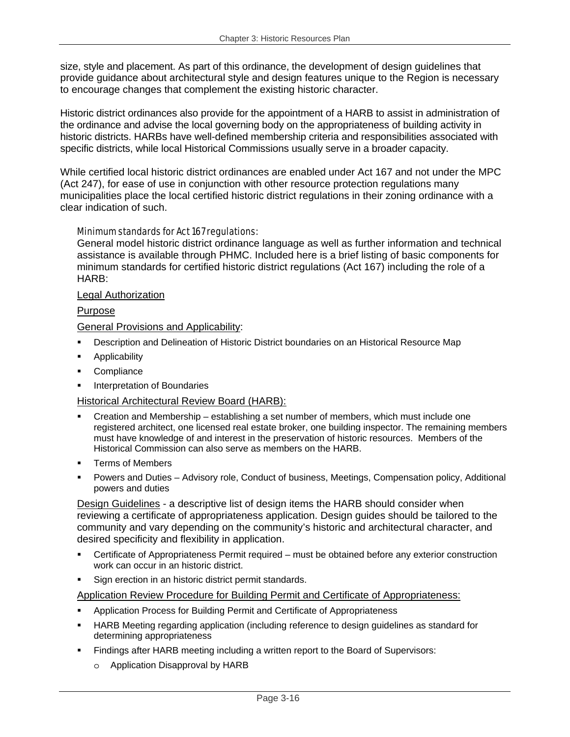size, style and placement. As part of this ordinance, the development of design guidelines that provide guidance about architectural style and design features unique to the Region is necessary to encourage changes that complement the existing historic character.

Historic district ordinances also provide for the appointment of a HARB to assist in administration of the ordinance and advise the local governing body on the appropriateness of building activity in historic districts. HARBs have well-defined membership criteria and responsibilities associated with specific districts, while local Historical Commissions usually serve in a broader capacity.

While certified local historic district ordinances are enabled under Act 167 and not under the MPC (Act 247), for ease of use in conjunction with other resource protection regulations many municipalities place the local certified historic district regulations in their zoning ordinance with a clear indication of such.

#### Minimum standards for Act 167 regulations:

General model historic district ordinance language as well as further information and technical assistance is available through PHMC. Included here is a brief listing of basic components for minimum standards for certified historic district regulations (Act 167) including the role of a HARB:

#### Legal Authorization

#### Purpose

General Provisions and Applicability:

- Description and Delineation of Historic District boundaries on an Historical Resource Map
- Applicability
- **Compliance**
- Interpretation of Boundaries

## Historical Architectural Review Board (HARB):

- Creation and Membership establishing a set number of members, which must include one registered architect, one licensed real estate broker, one building inspector. The remaining members must have knowledge of and interest in the preservation of historic resources. Members of the Historical Commission can also serve as members on the HARB.
- Terms of Members
- Powers and Duties Advisory role, Conduct of business, Meetings, Compensation policy, Additional powers and duties

Design Guidelines - a descriptive list of design items the HARB should consider when reviewing a certificate of appropriateness application. Design guides should be tailored to the community and vary depending on the community's historic and architectural character, and desired specificity and flexibility in application.

- Certificate of Appropriateness Permit required must be obtained before any exterior construction work can occur in an historic district.
- Sign erection in an historic district permit standards.

#### Application Review Procedure for Building Permit and Certificate of Appropriateness:

- **Application Process for Building Permit and Certificate of Appropriateness**
- HARB Meeting regarding application (including reference to design guidelines as standard for determining appropriateness
- Findings after HARB meeting including a written report to the Board of Supervisors:
	- o Application Disapproval by HARB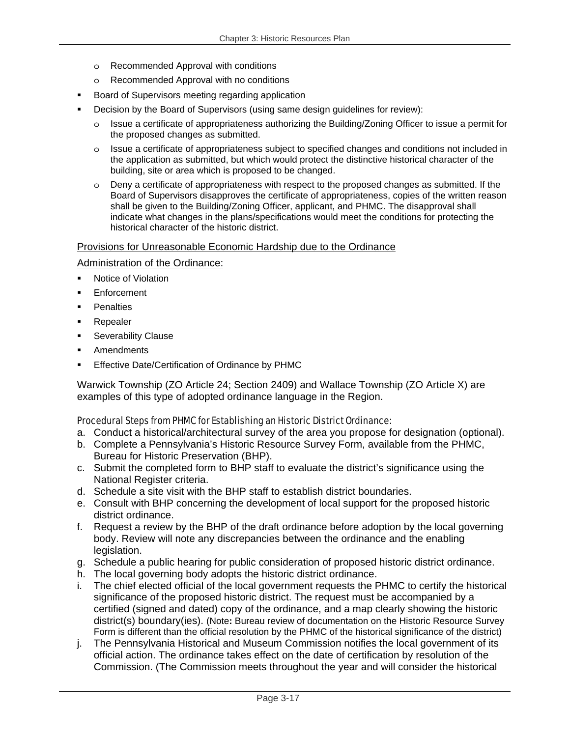- o Recommended Approval with conditions
- o Recommended Approval with no conditions
- Board of Supervisors meeting regarding application
- Decision by the Board of Supervisors (using same design guidelines for review):
	- $\circ$  Issue a certificate of appropriateness authorizing the Building/Zoning Officer to issue a permit for the proposed changes as submitted.
	- o Issue a certificate of appropriateness subject to specified changes and conditions not included in the application as submitted, but which would protect the distinctive historical character of the building, site or area which is proposed to be changed.
	- o Deny a certificate of appropriateness with respect to the proposed changes as submitted. If the Board of Supervisors disapproves the certificate of appropriateness, copies of the written reason shall be given to the Building/Zoning Officer, applicant, and PHMC. The disapproval shall indicate what changes in the plans/specifications would meet the conditions for protecting the historical character of the historic district.

#### Provisions for Unreasonable Economic Hardship due to the Ordinance

Administration of the Ordinance:

- **Notice of Violation**
- **Enforcement**
- **Penalties**
- Repealer
- Severability Clause
- **Amendments**
- Effective Date/Certification of Ordinance by PHMC

Warwick Township (ZO Article 24; Section 2409) and Wallace Township (ZO Article X) are examples of this type of adopted ordinance language in the Region.

#### Procedural Steps from PHMC for Establishing an Historic District Ordinance:

- a. Conduct a historical/architectural survey of the area you propose for designation (optional).
- b. Complete a Pennsylvania's Historic Resource Survey Form, available from the PHMC, Bureau for Historic Preservation (BHP).
- c. Submit the completed form to BHP staff to evaluate the district's significance using the National Register criteria.
- d. Schedule a site visit with the BHP staff to establish district boundaries.
- e. Consult with BHP concerning the development of local support for the proposed historic district ordinance.
- f. Request a review by the BHP of the draft ordinance before adoption by the local governing body. Review will note any discrepancies between the ordinance and the enabling legislation.
- g. Schedule a public hearing for public consideration of proposed historic district ordinance.
- h. The local governing body adopts the historic district ordinance.
- i. The chief elected official of the local government requests the PHMC to certify the historical significance of the proposed historic district. The request must be accompanied by a certified (signed and dated) copy of the ordinance, and a map clearly showing the historic district(s) boundary(ies). (Note**:** Bureau review of documentation on the Historic Resource Survey Form is different than the official resolution by the PHMC of the historical significance of the district)
- j. The Pennsylvania Historical and Museum Commission notifies the local government of its official action. The ordinance takes effect on the date of certification by resolution of the Commission. (The Commission meets throughout the year and will consider the historical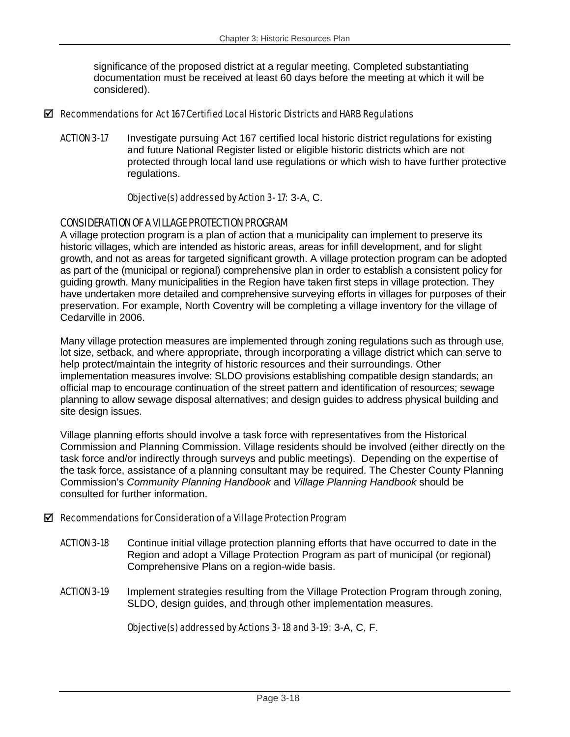significance of the proposed district at a regular meeting. Completed substantiating documentation must be received at least 60 days before the meeting at which it will be considered).

#### $\boxtimes$  Recommendations for Act 167 Certified Local Historic Districts and HARB Regulations

ACTION 3-17 Investigate pursuing Act 167 certified local historic district regulations for existing and future National Register listed or eligible historic districts which are not protected through local land use regulations or which wish to have further protective regulations.

#### Objective(s) addressed by Action 3- 17: 3-A, C.

## CONSIDERATION OF A VILLAGE PROTECTION PROGRAM

A village protection program is a plan of action that a municipality can implement to preserve its historic villages, which are intended as historic areas, areas for infill development, and for slight growth, and not as areas for targeted significant growth. A village protection program can be adopted as part of the (municipal or regional) comprehensive plan in order to establish a consistent policy for guiding growth. Many municipalities in the Region have taken first steps in village protection. They have undertaken more detailed and comprehensive surveying efforts in villages for purposes of their preservation. For example, North Coventry will be completing a village inventory for the village of Cedarville in 2006.

Many village protection measures are implemented through zoning regulations such as through use, lot size, setback, and where appropriate, through incorporating a village district which can serve to help protect/maintain the integrity of historic resources and their surroundings. Other implementation measures involve: SLDO provisions establishing compatible design standards; an official map to encourage continuation of the street pattern and identification of resources; sewage planning to allow sewage disposal alternatives; and design guides to address physical building and site design issues.

Village planning efforts should involve a task force with representatives from the Historical Commission and Planning Commission. Village residents should be involved (either directly on the task force and/or indirectly through surveys and public meetings). Depending on the expertise of the task force, assistance of a planning consultant may be required. The Chester County Planning Commission's *Community Planning Handbook* and *Village Planning Handbook* should be consulted for further information.

## $\boxtimes$  Recommendations for Consideration of a Village Protection Program

- **ACTION 3-18** Continue initial village protection planning efforts that have occurred to date in the Region and adopt a Village Protection Program as part of municipal (or regional) Comprehensive Plans on a region-wide basis.
- ACTION 3-19 Implement strategies resulting from the Village Protection Program through zoning, SLDO, design guides, and through other implementation measures.

## Objective(s) addressed by Actions 3- 18 and 3-19: 3-A, C, F.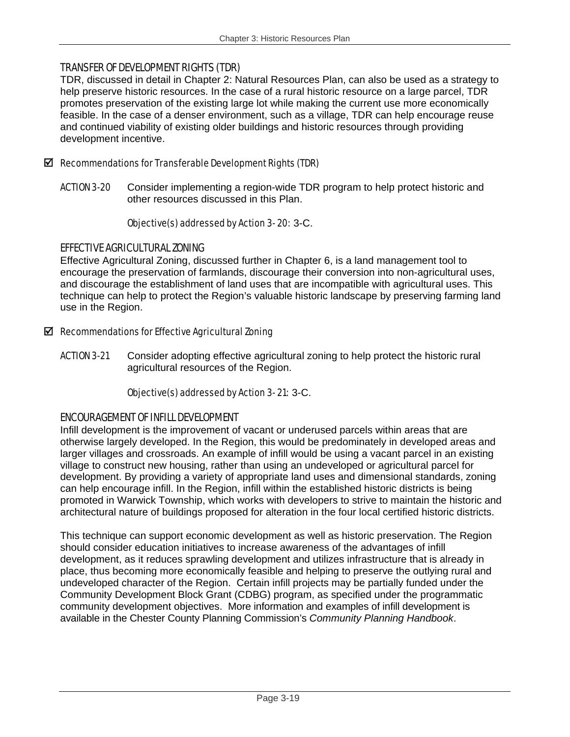## TRANSFER OF DEVELOPMENT RIGHTS (TDR)

TDR, discussed in detail in Chapter 2: Natural Resources Plan, can also be used as a strategy to help preserve historic resources. In the case of a rural historic resource on a large parcel, TDR promotes preservation of the existing large lot while making the current use more economically feasible. In the case of a denser environment, such as a village, TDR can help encourage reuse and continued viability of existing older buildings and historic resources through providing development incentive.

## $\boxtimes$  Recommendations for Transferable Development Rights (TDR)

ACTION 3-20 Consider implementing a region-wide TDR program to help protect historic and other resources discussed in this Plan.

## Objective(s) addressed by Action 3- 20: 3-C.

## EFFECTIVE AGRICULTURAL ZONING

Effective Agricultural Zoning, discussed further in Chapter 6, is a land management tool to encourage the preservation of farmlands, discourage their conversion into non-agricultural uses, and discourage the establishment of land uses that are incompatible with agricultural uses. This technique can help to protect the Region's valuable historic landscape by preserving farming land use in the Region.

## $\boxtimes$  Recommendations for Effective Agricultural Zoning

ACTION 3-21 Consider adopting effective agricultural zoning to help protect the historic rural agricultural resources of the Region.

## Objective(s) addressed by Action 3- 21: 3-C.

## ENCOURAGEMENT OF INFILL DEVELOPMENT

Infill development is the improvement of vacant or underused parcels within areas that are otherwise largely developed. In the Region, this would be predominately in developed areas and larger villages and crossroads. An example of infill would be using a vacant parcel in an existing village to construct new housing, rather than using an undeveloped or agricultural parcel for development. By providing a variety of appropriate land uses and dimensional standards, zoning can help encourage infill. In the Region, infill within the established historic districts is being promoted in Warwick Township, which works with developers to strive to maintain the historic and architectural nature of buildings proposed for alteration in the four local certified historic districts.

This technique can support economic development as well as historic preservation. The Region should consider education initiatives to increase awareness of the advantages of infill development, as it reduces sprawling development and utilizes infrastructure that is already in place, thus becoming more economically feasible and helping to preserve the outlying rural and undeveloped character of the Region. Certain infill projects may be partially funded under the Community Development Block Grant (CDBG) program, as specified under the programmatic community development objectives. More information and examples of infill development is available in the Chester County Planning Commission's *Community Planning Handbook*.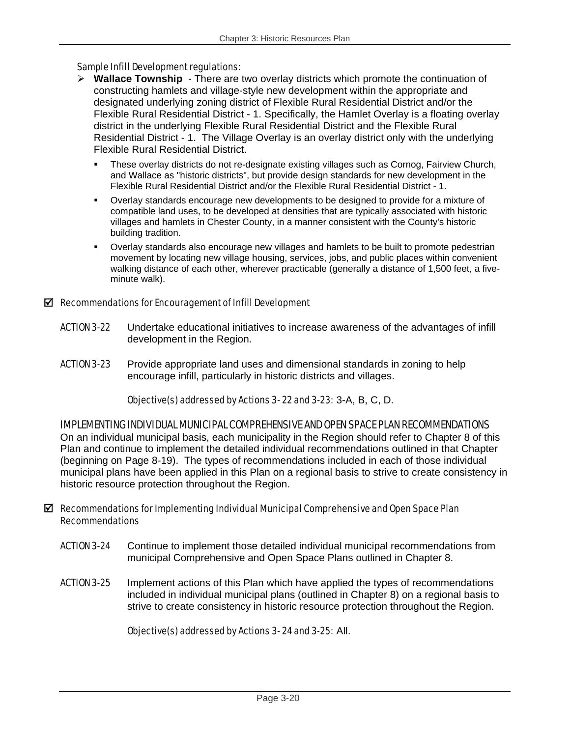#### Sample Infill Development regulations:

- ¾ **Wallace Township** There are two overlay districts which promote the continuation of constructing hamlets and village-style new development within the appropriate and designated underlying zoning district of Flexible Rural Residential District and/or the Flexible Rural Residential District - 1. Specifically, the Hamlet Overlay is a floating overlay district in the underlying Flexible Rural Residential District and the Flexible Rural Residential District - 1. The Village Overlay is an overlay district only with the underlying Flexible Rural Residential District.
	- These overlay districts do not re-designate existing villages such as Cornog, Fairview Church, and Wallace as "historic districts", but provide design standards for new development in the Flexible Rural Residential District and/or the Flexible Rural Residential District - 1.
	- Overlay standards encourage new developments to be designed to provide for a mixture of compatible land uses, to be developed at densities that are typically associated with historic villages and hamlets in Chester County, in a manner consistent with the County's historic building tradition.
	- Overlay standards also encourage new villages and hamlets to be built to promote pedestrian movement by locating new village housing, services, jobs, and public places within convenient walking distance of each other, wherever practicable (generally a distance of 1,500 feet, a fiveminute walk).

#### $\boxtimes$  Recommendations for Encouragement of Infill Development

- ACTION 3-22 Undertake educational initiatives to increase awareness of the advantages of infill development in the Region.
- **ACTION 3-23** Provide appropriate land uses and dimensional standards in zoning to help encourage infill, particularly in historic districts and villages.

#### Objective(s) addressed by Actions 3- 22 and 3-23: 3-A, B, C, D.

#### IMPLEMENTING INDIVIDUAL MUNICIPAL COMPREHENSIVE AND OPEN SPACE PLAN RECOMMENDATIONS

On an individual municipal basis, each municipality in the Region should refer to Chapter 8 of this Plan and continue to implement the detailed individual recommendations outlined in that Chapter (beginning on Page 8-19). The types of recommendations included in each of those individual municipal plans have been applied in this Plan on a regional basis to strive to create consistency in historic resource protection throughout the Region.

#### $\boxtimes$  Recommendations for Implementing Individual Municipal Comprehensive and Open Space Plan Recommendations

- ACTION 3-24 Continue to implement those detailed individual municipal recommendations from municipal Comprehensive and Open Space Plans outlined in Chapter 8.
- ACTION 3-25 Implement actions of this Plan which have applied the types of recommendations included in individual municipal plans (outlined in Chapter 8) on a regional basis to strive to create consistency in historic resource protection throughout the Region.

#### Objective(s) addressed by Actions 3- 24 and 3-25: All.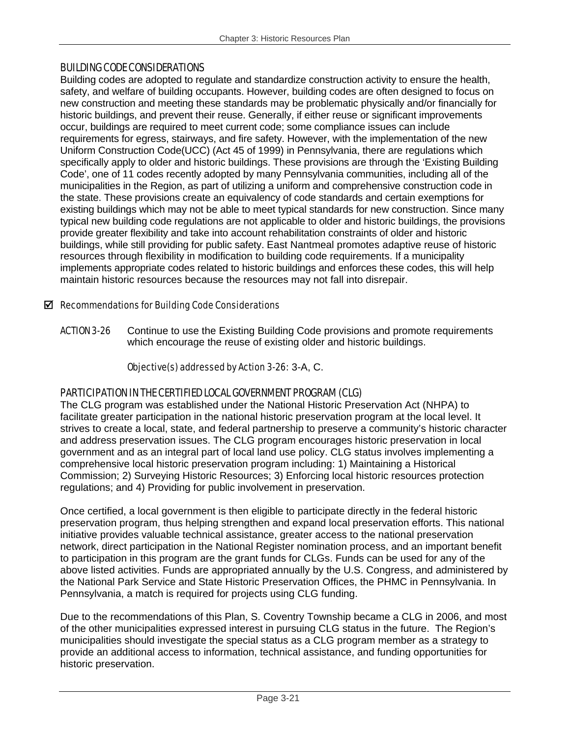## BUILDING CODE CONSIDERATIONS

Building codes are adopted to regulate and standardize construction activity to ensure the health, safety, and welfare of building occupants. However, building codes are often designed to focus on new construction and meeting these standards may be problematic physically and/or financially for historic buildings, and prevent their reuse. Generally, if either reuse or significant improvements occur, buildings are required to meet current code; some compliance issues can include requirements for egress, stairways, and fire safety. However, with the implementation of the new Uniform Construction Code(UCC) (Act 45 of 1999) in Pennsylvania, there are regulations which specifically apply to older and historic buildings. These provisions are through the 'Existing Building Code', one of 11 codes recently adopted by many Pennsylvania communities, including all of the municipalities in the Region, as part of utilizing a uniform and comprehensive construction code in the state. These provisions create an equivalency of code standards and certain exemptions for existing buildings which may not be able to meet typical standards for new construction. Since many typical new building code regulations are not applicable to older and historic buildings, the provisions provide greater flexibility and take into account rehabilitation constraints of older and historic buildings, while still providing for public safety. East Nantmeal promotes adaptive reuse of historic resources through flexibility in modification to building code requirements. If a municipality implements appropriate codes related to historic buildings and enforces these codes, this will help maintain historic resources because the resources may not fall into disrepair.

## $\boxtimes$  Recommendations for Building Code Considerations

**ACTION 3-26** Continue to use the Existing Building Code provisions and promote requirements which encourage the reuse of existing older and historic buildings.

## Objective(s) addressed by Action 3-26: 3-A, C.

## PARTICIPATION IN THE CERTIFIED LOCAL GOVERNMENT PROGRAM (CLG)

The CLG program was established under the National Historic Preservation Act (NHPA) to facilitate greater participation in the national historic preservation program at the local level. It strives to create a local, state, and federal partnership to preserve a community's historic character and address preservation issues. The CLG program encourages historic preservation in local government and as an integral part of local land use policy. CLG status involves implementing a comprehensive local historic preservation program including: 1) Maintaining a Historical Commission; 2) Surveying Historic Resources; 3) Enforcing local historic resources protection regulations; and 4) Providing for public involvement in preservation.

Once certified, a local government is then eligible to participate directly in the federal historic preservation program, thus helping strengthen and expand local preservation efforts. This national initiative provides valuable technical assistance, greater access to the national preservation network, direct participation in the National Register nomination process, and an important benefit to participation in this program are the grant funds for CLGs. Funds can be used for any of the above listed activities. Funds are appropriated annually by the U.S. Congress, and administered by the National Park Service and State Historic Preservation Offices, the PHMC in Pennsylvania. In Pennsylvania, a match is required for projects using CLG funding.

Due to the recommendations of this Plan, S. Coventry Township became a CLG in 2006, and most of the other municipalities expressed interest in pursuing CLG status in the future. The Region's municipalities should investigate the special status as a CLG program member as a strategy to provide an additional access to information, technical assistance, and funding opportunities for historic preservation.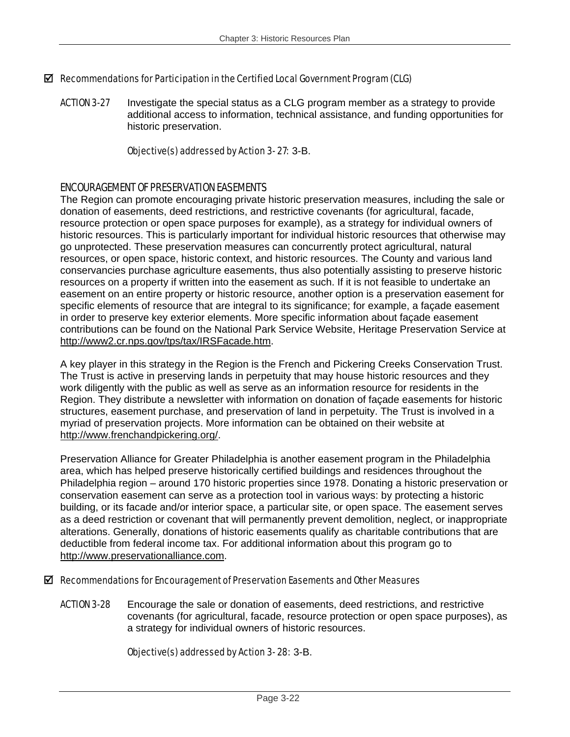## $\boxtimes$  Recommendations for Participation in the Certified Local Government Program (CLG)

**ACTION 3-27** Investigate the special status as a CLG program member as a strategy to provide additional access to information, technical assistance, and funding opportunities for historic preservation.

### Objective(s) addressed by Action 3- 27: 3-B.

## ENCOURAGEMENT OF PRESERVATION EASEMENTS

The Region can promote encouraging private historic preservation measures, including the sale or donation of easements, deed restrictions, and restrictive covenants (for agricultural, facade, resource protection or open space purposes for example), as a strategy for individual owners of historic resources. This is particularly important for individual historic resources that otherwise may go unprotected. These preservation measures can concurrently protect agricultural, natural resources, or open space, historic context, and historic resources. The County and various land conservancies purchase agriculture easements, thus also potentially assisting to preserve historic resources on a property if written into the easement as such. If it is not feasible to undertake an easement on an entire property or historic resource, another option is a preservation easement for specific elements of resource that are integral to its significance; for example, a façade easement in order to preserve key exterior elements. More specific information about façade easement contributions can be found on the National Park Service Website, Heritage Preservation Service at http://www2.cr.nps.gov/tps/tax/IRSFacade.htm.

A key player in this strategy in the Region is the French and Pickering Creeks Conservation Trust. The Trust is active in preserving lands in perpetuity that may house historic resources and they work diligently with the public as well as serve as an information resource for residents in the Region. They distribute a newsletter with information on donation of façade easements for historic structures, easement purchase, and preservation of land in perpetuity. The Trust is involved in a myriad of preservation projects. More information can be obtained on their website at http://www.frenchandpickering.org/.

Preservation Alliance for Greater Philadelphia is another easement program in the Philadelphia area, which has helped preserve historically certified buildings and residences throughout the Philadelphia region – around 170 historic properties since 1978. Donating a historic preservation or conservation easement can serve as a protection tool in various ways: by protecting a historic building, or its facade and/or interior space, a particular site, or open space. The easement serves as a deed restriction or covenant that will permanently prevent demolition, neglect, or inappropriate alterations. Generally, donations of historic easements qualify as charitable contributions that are deductible from federal income tax. For additional information about this program go to http://www.preservationalliance.com.

#### $\boxtimes$  Recommendations for Encouragement of Preservation Easements and Other Measures

**ACTION 3-28** Encourage the sale or donation of easements, deed restrictions, and restrictive covenants (for agricultural, facade, resource protection or open space purposes), as a strategy for individual owners of historic resources.

## Objective(s) addressed by Action 3- 28: 3-B.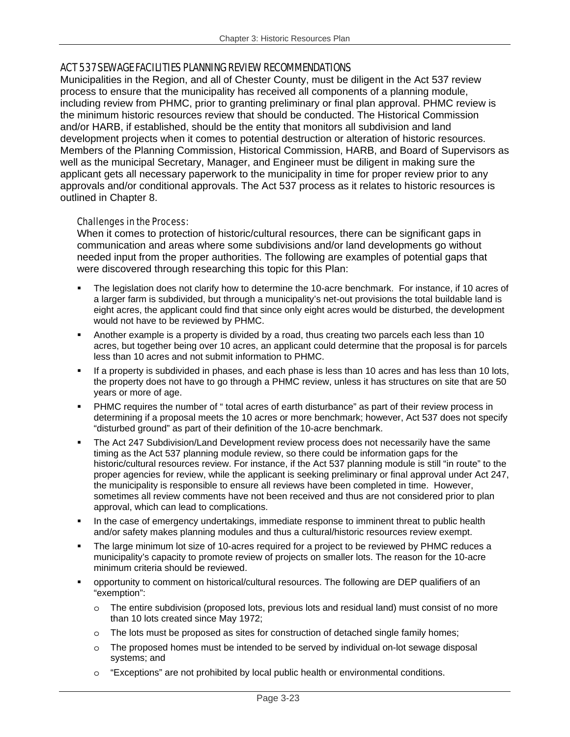## ACT 537 SEWAGE FACILITIES PLANNING REVIEW RECOMMENDATIONS

Municipalities in the Region, and all of Chester County, must be diligent in the Act 537 review process to ensure that the municipality has received all components of a planning module, including review from PHMC, prior to granting preliminary or final plan approval. PHMC review is the minimum historic resources review that should be conducted. The Historical Commission and/or HARB, if established, should be the entity that monitors all subdivision and land development projects when it comes to potential destruction or alteration of historic resources. Members of the Planning Commission, Historical Commission, HARB, and Board of Supervisors as well as the municipal Secretary, Manager, and Engineer must be diligent in making sure the applicant gets all necessary paperwork to the municipality in time for proper review prior to any approvals and/or conditional approvals. The Act 537 process as it relates to historic resources is outlined in Chapter 8.

#### Challenges in the Process:

When it comes to protection of historic/cultural resources, there can be significant gaps in communication and areas where some subdivisions and/or land developments go without needed input from the proper authorities. The following are examples of potential gaps that were discovered through researching this topic for this Plan:

- The legislation does not clarify how to determine the 10-acre benchmark. For instance, if 10 acres of a larger farm is subdivided, but through a municipality's net-out provisions the total buildable land is eight acres, the applicant could find that since only eight acres would be disturbed, the development would not have to be reviewed by PHMC.
- Another example is a property is divided by a road, thus creating two parcels each less than 10 acres, but together being over 10 acres, an applicant could determine that the proposal is for parcels less than 10 acres and not submit information to PHMC.
- If a property is subdivided in phases, and each phase is less than 10 acres and has less than 10 lots, the property does not have to go through a PHMC review, unless it has structures on site that are 50 years or more of age.
- PHMC requires the number of " total acres of earth disturbance" as part of their review process in determining if a proposal meets the 10 acres or more benchmark; however, Act 537 does not specify "disturbed ground" as part of their definition of the 10-acre benchmark.
- The Act 247 Subdivision/Land Development review process does not necessarily have the same timing as the Act 537 planning module review, so there could be information gaps for the historic/cultural resources review. For instance, if the Act 537 planning module is still "in route" to the proper agencies for review, while the applicant is seeking preliminary or final approval under Act 247, the municipality is responsible to ensure all reviews have been completed in time. However, sometimes all review comments have not been received and thus are not considered prior to plan approval, which can lead to complications.
- In the case of emergency undertakings, immediate response to imminent threat to public health and/or safety makes planning modules and thus a cultural/historic resources review exempt.
- The large minimum lot size of 10-acres required for a project to be reviewed by PHMC reduces a municipality's capacity to promote review of projects on smaller lots. The reason for the 10-acre minimum criteria should be reviewed.
- opportunity to comment on historical/cultural resources. The following are DEP qualifiers of an "exemption":
	- o The entire subdivision (proposed lots, previous lots and residual land) must consist of no more than 10 lots created since May 1972;
	- $\circ$  The lots must be proposed as sites for construction of detached single family homes;
	- $\circ$  The proposed homes must be intended to be served by individual on-lot sewage disposal systems; and
	- o "Exceptions" are not prohibited by local public health or environmental conditions.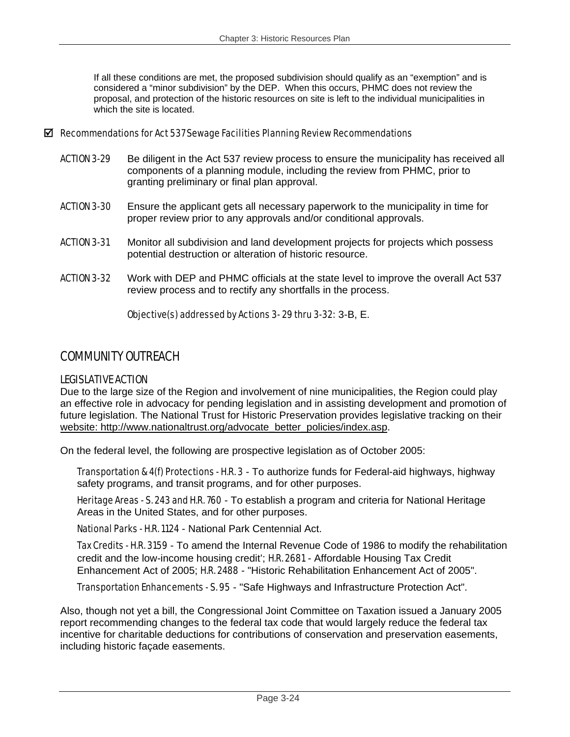If all these conditions are met, the proposed subdivision should qualify as an "exemption" and is considered a "minor subdivision" by the DEP. When this occurs, PHMC does not review the proposal, and protection of the historic resources on site is left to the individual municipalities in which the site is located.

#### $\boxtimes$  Recommendations for Act 537 Sewage Facilities Planning Review Recommendations

- ACTION 3-29 Be diligent in the Act 537 review process to ensure the municipality has received all components of a planning module, including the review from PHMC, prior to granting preliminary or final plan approval.
- **ACTION 3-30** Ensure the applicant gets all necessary paperwork to the municipality in time for proper review prior to any approvals and/or conditional approvals.
- ACTION 3-31 Monitor all subdivision and land development projects for projects which possess potential destruction or alteration of historic resource.
- ACTION 3-32 Work with DEP and PHMC officials at the state level to improve the overall Act 537 review process and to rectify any shortfalls in the process.

Objective(s) addressed by Actions 3- 29 thru 3-32: 3-B, E.

## COMMUNITY OUTREACH

## LEGISLATIVE ACTION

Due to the large size of the Region and involvement of nine municipalities, the Region could play an effective role in advocacy for pending legislation and in assisting development and promotion of future legislation. The National Trust for Historic Preservation provides legislative tracking on their website: http://www.nationaltrust.org/advocate\_better\_policies/index.asp.

On the federal level, the following are prospective legislation as of October 2005:

Transportation & 4(f) Protections - H.R. 3 - To authorize funds for Federal-aid highways, highway safety programs, and transit programs, and for other purposes.

Heritage Areas - S. 243 and H.R. 760 - To establish a program and criteria for National Heritage Areas in the United States, and for other purposes.

National Parks - H.R. 1124 - National Park Centennial Act.

Tax Credits - H.R. 3159 - To amend the Internal Revenue Code of 1986 to modify the rehabilitation credit and the low-income housing credit'; H.R. 2681 - Affordable Housing Tax Credit Enhancement Act of 2005; H.R. 2488 - "Historic Rehabilitation Enhancement Act of 2005".

Transportation Enhancements - S. 95 - "Safe Highways and Infrastructure Protection Act".

Also, though not yet a bill, the Congressional Joint Committee on Taxation issued a January 2005 report recommending changes to the federal tax code that would largely reduce the federal tax incentive for charitable deductions for contributions of conservation and preservation easements, including historic façade easements.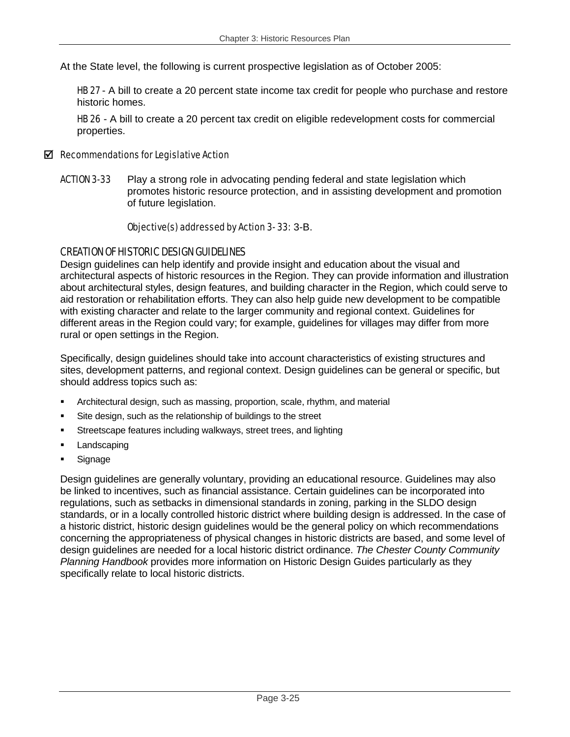At the State level, the following is current prospective legislation as of October 2005:

**HB 27** - A bill to create a 20 percent state income tax credit for people who purchase and restore historic homes.

HB 26 - A bill to create a 20 percent tax credit on eligible redevelopment costs for commercial properties.

#### $\boxtimes$  Recommendations for Legislative Action

**ACTION 3-33** Play a strong role in advocating pending federal and state legislation which promotes historic resource protection, and in assisting development and promotion of future legislation.

#### Objective(s) addressed by Action 3- 33: 3-B.

#### CREATION OF HISTORIC DESIGN GUIDELINES

Design guidelines can help identify and provide insight and education about the visual and architectural aspects of historic resources in the Region. They can provide information and illustration about architectural styles, design features, and building character in the Region, which could serve to aid restoration or rehabilitation efforts. They can also help guide new development to be compatible with existing character and relate to the larger community and regional context. Guidelines for different areas in the Region could vary; for example, guidelines for villages may differ from more rural or open settings in the Region.

Specifically, design guidelines should take into account characteristics of existing structures and sites, development patterns, and regional context. Design guidelines can be general or specific, but should address topics such as:

- Architectural design, such as massing, proportion, scale, rhythm, and material
- Site design, such as the relationship of buildings to the street
- Streetscape features including walkways, street trees, and lighting
- Landscaping
- Signage

Design guidelines are generally voluntary, providing an educational resource. Guidelines may also be linked to incentives, such as financial assistance. Certain guidelines can be incorporated into regulations, such as setbacks in dimensional standards in zoning, parking in the SLDO design standards, or in a locally controlled historic district where building design is addressed. In the case of a historic district, historic design guidelines would be the general policy on which recommendations concerning the appropriateness of physical changes in historic districts are based, and some level of design guidelines are needed for a local historic district ordinance. *The Chester County Community Planning Handbook* provides more information on Historic Design Guides particularly as they specifically relate to local historic districts.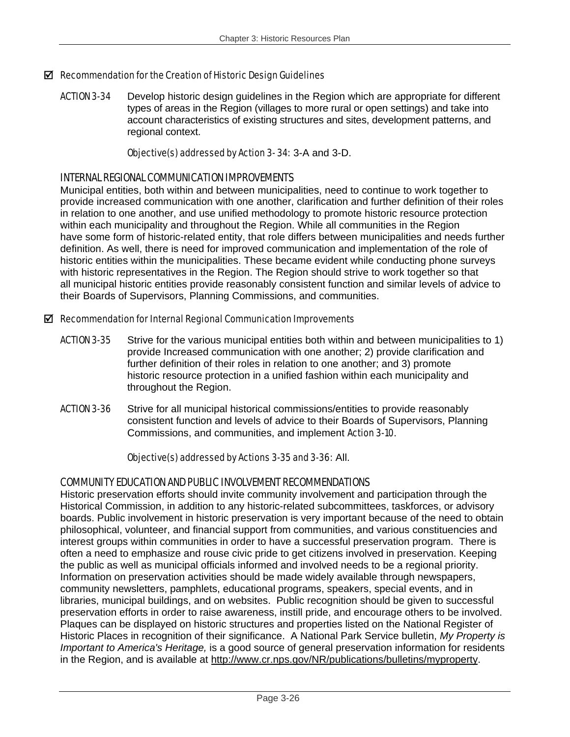### $\boxtimes$  Recommendation for the Creation of Historic Design Guidelines

**ACTION 3-34** Develop historic design guidelines in the Region which are appropriate for different types of areas in the Region (villages to more rural or open settings) and take into account characteristics of existing structures and sites, development patterns, and regional context.

#### Objective(s) addressed by Action 3- 34: 3-A and 3-D.

## INTERNAL REGIONAL COMMUNICATION IMPROVEMENTS

Municipal entities, both within and between municipalities, need to continue to work together to provide increased communication with one another, clarification and further definition of their roles in relation to one another, and use unified methodology to promote historic resource protection within each municipality and throughout the Region. While all communities in the Region have some form of historic-related entity, that role differs between municipalities and needs further definition. As well, there is need for improved communication and implementation of the role of historic entities within the municipalities. These became evident while conducting phone surveys with historic representatives in the Region. The Region should strive to work together so that all municipal historic entities provide reasonably consistent function and similar levels of advice to their Boards of Supervisors, Planning Commissions, and communities.

#### $\boxtimes$  Recommendation for Internal Regional Communication Improvements

- ACTION 3-35 Strive for the various municipal entities both within and between municipalities to 1) provide Increased communication with one another; 2) provide clarification and further definition of their roles in relation to one another; and 3) promote historic resource protection in a unified fashion within each municipality and throughout the Region.
- ACTION 3-36 Strive for all municipal historical commissions/entities to provide reasonably consistent function and levels of advice to their Boards of Supervisors, Planning Commissions, and communities, and implement Action 3-10.

#### Objective(s) addressed by Actions 3-35 and 3-36: All.

## COMMUNITY EDUCATION AND PUBLIC INVOLVEMENT RECOMMENDATIONS

Historic preservation efforts should invite community involvement and participation through the Historical Commission, in addition to any historic-related subcommittees, taskforces, or advisory boards. Public involvement in historic preservation is very important because of the need to obtain philosophical, volunteer, and financial support from communities, and various constituencies and interest groups within communities in order to have a successful preservation program. There is often a need to emphasize and rouse civic pride to get citizens involved in preservation. Keeping the public as well as municipal officials informed and involved needs to be a regional priority. Information on preservation activities should be made widely available through newspapers, community newsletters, pamphlets, educational programs, speakers, special events, and in libraries, municipal buildings, and on websites. Public recognition should be given to successful preservation efforts in order to raise awareness, instill pride, and encourage others to be involved. Plaques can be displayed on historic structures and properties listed on the National Register of Historic Places in recognition of their significance. A National Park Service bulletin, *My Property is Important to America's Heritage,* is a good source of general preservation information for residents in the Region, and is available at http://www.cr.nps.gov/NR/publications/bulletins/myproperty.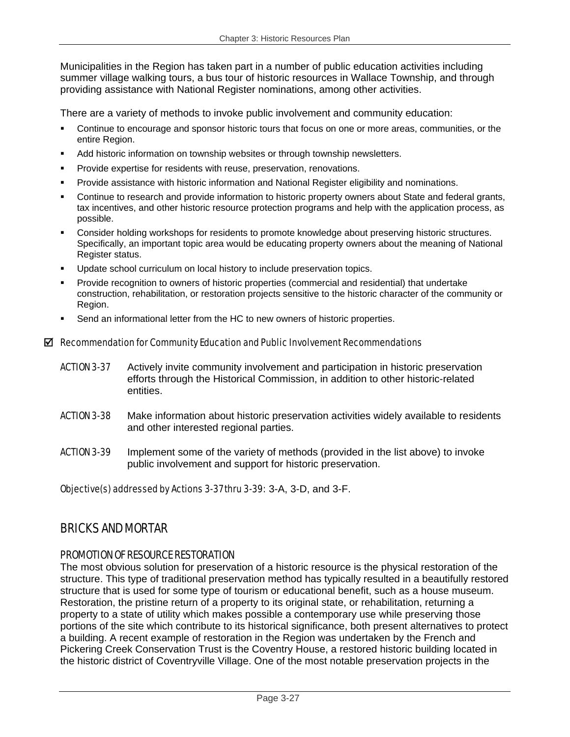Municipalities in the Region has taken part in a number of public education activities including summer village walking tours, a bus tour of historic resources in Wallace Township, and through providing assistance with National Register nominations, among other activities.

There are a variety of methods to invoke public involvement and community education:

- Continue to encourage and sponsor historic tours that focus on one or more areas, communities, or the entire Region.
- Add historic information on township websites or through township newsletters.
- Provide expertise for residents with reuse, preservation, renovations.
- Provide assistance with historic information and National Register eligibility and nominations.
- Continue to research and provide information to historic property owners about State and federal grants, tax incentives, and other historic resource protection programs and help with the application process, as possible.
- Consider holding workshops for residents to promote knowledge about preserving historic structures. Specifically, an important topic area would be educating property owners about the meaning of National Register status.
- Update school curriculum on local history to include preservation topics.
- Provide recognition to owners of historic properties (commercial and residential) that undertake construction, rehabilitation, or restoration projects sensitive to the historic character of the community or Region.
- Send an informational letter from the HC to new owners of historic properties.

#### $\boxtimes$  Recommendation for Community Education and Public Involvement Recommendations

- **ACTION 3-37** Actively invite community involvement and participation in historic preservation efforts through the Historical Commission, in addition to other historic-related entities.
- **ACTION 3-38** Make information about historic preservation activities widely available to residents and other interested regional parties.
- **ACTION 3-39** Implement some of the variety of methods (provided in the list above) to invoke public involvement and support for historic preservation.

Objective(s) addressed by Actions 3-37 thru 3-39: 3-A, 3-D, and 3-F.

## BRICKS AND MORTAR

## PROMOTION OF RESOURCE RESTORATION

The most obvious solution for preservation of a historic resource is the physical restoration of the structure. This type of traditional preservation method has typically resulted in a beautifully restored structure that is used for some type of tourism or educational benefit, such as a house museum. Restoration, the pristine return of a property to its original state, or rehabilitation, returning a property to a state of utility which makes possible a contemporary use while preserving those portions of the site which contribute to its historical significance, both present alternatives to protect a building. A recent example of restoration in the Region was undertaken by the French and Pickering Creek Conservation Trust is the Coventry House, a restored historic building located in the historic district of Coventryville Village. One of the most notable preservation projects in the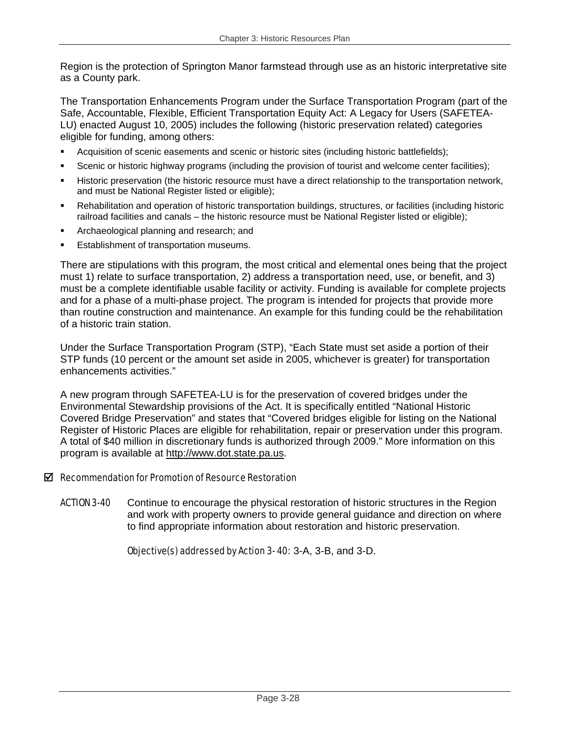Region is the protection of Springton Manor farmstead through use as an historic interpretative site as a County park.

The Transportation Enhancements Program under the Surface Transportation Program (part of the Safe, Accountable, Flexible, Efficient Transportation Equity Act: A Legacy for Users (SAFETEA-LU) enacted August 10, 2005) includes the following (historic preservation related) categories eligible for funding, among others:

- Acquisition of scenic easements and scenic or historic sites (including historic battlefields);
- Scenic or historic highway programs (including the provision of tourist and welcome center facilities);
- Historic preservation (the historic resource must have a direct relationship to the transportation network, and must be National Register listed or eligible);
- Rehabilitation and operation of historic transportation buildings, structures, or facilities (including historic railroad facilities and canals – the historic resource must be National Register listed or eligible);
- Archaeological planning and research; and
- Establishment of transportation museums.

There are stipulations with this program, the most critical and elemental ones being that the project must 1) relate to surface transportation, 2) address a transportation need, use, or benefit, and 3) must be a complete identifiable usable facility or activity. Funding is available for complete projects and for a phase of a multi-phase project. The program is intended for projects that provide more than routine construction and maintenance. An example for this funding could be the rehabilitation of a historic train station.

Under the Surface Transportation Program (STP), "Each State must set aside a portion of their STP funds (10 percent or the amount set aside in 2005, whichever is greater) for transportation enhancements activities."

A new program through SAFETEA-LU is for the preservation of covered bridges under the Environmental Stewardship provisions of the Act. It is specifically entitled "National Historic Covered Bridge Preservation" and states that "Covered bridges eligible for listing on the National Register of Historic Places are eligible for rehabilitation, repair or preservation under this program. A total of \$40 million in discretionary funds is authorized through 2009." More information on this program is available at http://www.dot.state.pa.us.

## $\boxtimes$  Recommendation for Promotion of Resource Restoration

**ACTION 3-40** Continue to encourage the physical restoration of historic structures in the Region and work with property owners to provide general guidance and direction on where to find appropriate information about restoration and historic preservation.

Objective(s) addressed by Action 3- 40: 3-A, 3-B, and 3-D.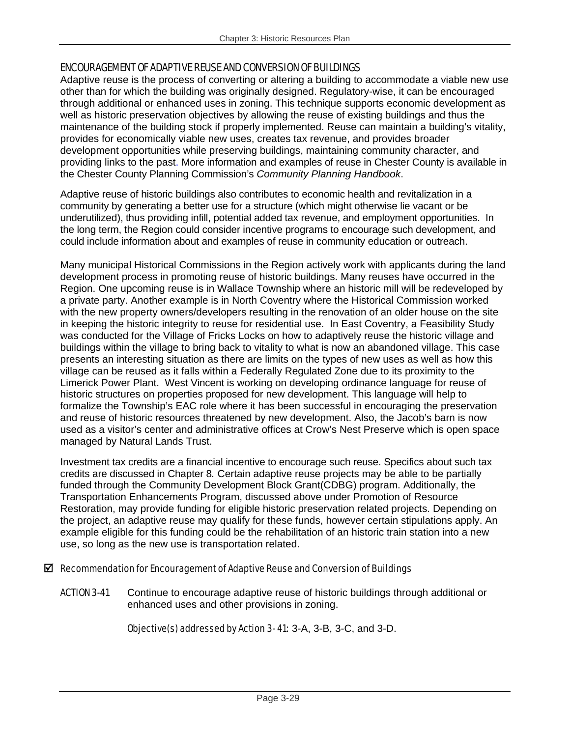## ENCOURAGEMENT OF ADAPTIVE REUSE AND CONVERSION OF BUILDINGS

Adaptive reuse is the process of converting or altering a building to accommodate a viable new use other than for which the building was originally designed. Regulatory-wise, it can be encouraged through additional or enhanced uses in zoning. This technique supports economic development as well as historic preservation objectives by allowing the reuse of existing buildings and thus the maintenance of the building stock if properly implemented. Reuse can maintain a building's vitality, provides for economically viable new uses, creates tax revenue, and provides broader development opportunities while preserving buildings, maintaining community character, and providing links to the past. More information and examples of reuse in Chester County is available in the Chester County Planning Commission's *Community Planning Handbook*.

Adaptive reuse of historic buildings also contributes to economic health and revitalization in a community by generating a better use for a structure (which might otherwise lie vacant or be underutilized), thus providing infill, potential added tax revenue, and employment opportunities. In the long term, the Region could consider incentive programs to encourage such development, and could include information about and examples of reuse in community education or outreach.

Many municipal Historical Commissions in the Region actively work with applicants during the land development process in promoting reuse of historic buildings. Many reuses have occurred in the Region. One upcoming reuse is in Wallace Township where an historic mill will be redeveloped by a private party. Another example is in North Coventry where the Historical Commission worked with the new property owners/developers resulting in the renovation of an older house on the site in keeping the historic integrity to reuse for residential use. In East Coventry, a Feasibility Study was conducted for the Village of Fricks Locks on how to adaptively reuse the historic village and buildings within the village to bring back to vitality to what is now an abandoned village. This case presents an interesting situation as there are limits on the types of new uses as well as how this village can be reused as it falls within a Federally Regulated Zone due to its proximity to the Limerick Power Plant. West Vincent is working on developing ordinance language for reuse of historic structures on properties proposed for new development. This language will help to formalize the Township's EAC role where it has been successful in encouraging the preservation and reuse of historic resources threatened by new development. Also, the Jacob's barn is now used as a visitor's center and administrative offices at Crow's Nest Preserve which is open space managed by Natural Lands Trust.

Investment tax credits are a financial incentive to encourage such reuse. Specifics about such tax credits are discussed in Chapter 8*.* Certain adaptive reuse projects may be able to be partially funded through the Community Development Block Grant(CDBG) program. Additionally, the Transportation Enhancements Program, discussed above under Promotion of Resource Restoration, may provide funding for eligible historic preservation related projects. Depending on the project, an adaptive reuse may qualify for these funds, however certain stipulations apply. An example eligible for this funding could be the rehabilitation of an historic train station into a new use, so long as the new use is transportation related.

## $\boxtimes$  Recommendation for Encouragement of Adaptive Reuse and Conversion of Buildings

**ACTION 3-41** Continue to encourage adaptive reuse of historic buildings through additional or enhanced uses and other provisions in zoning.

## Objective(s) addressed by Action 3- 41: 3-A, 3-B, 3-C, and 3-D.